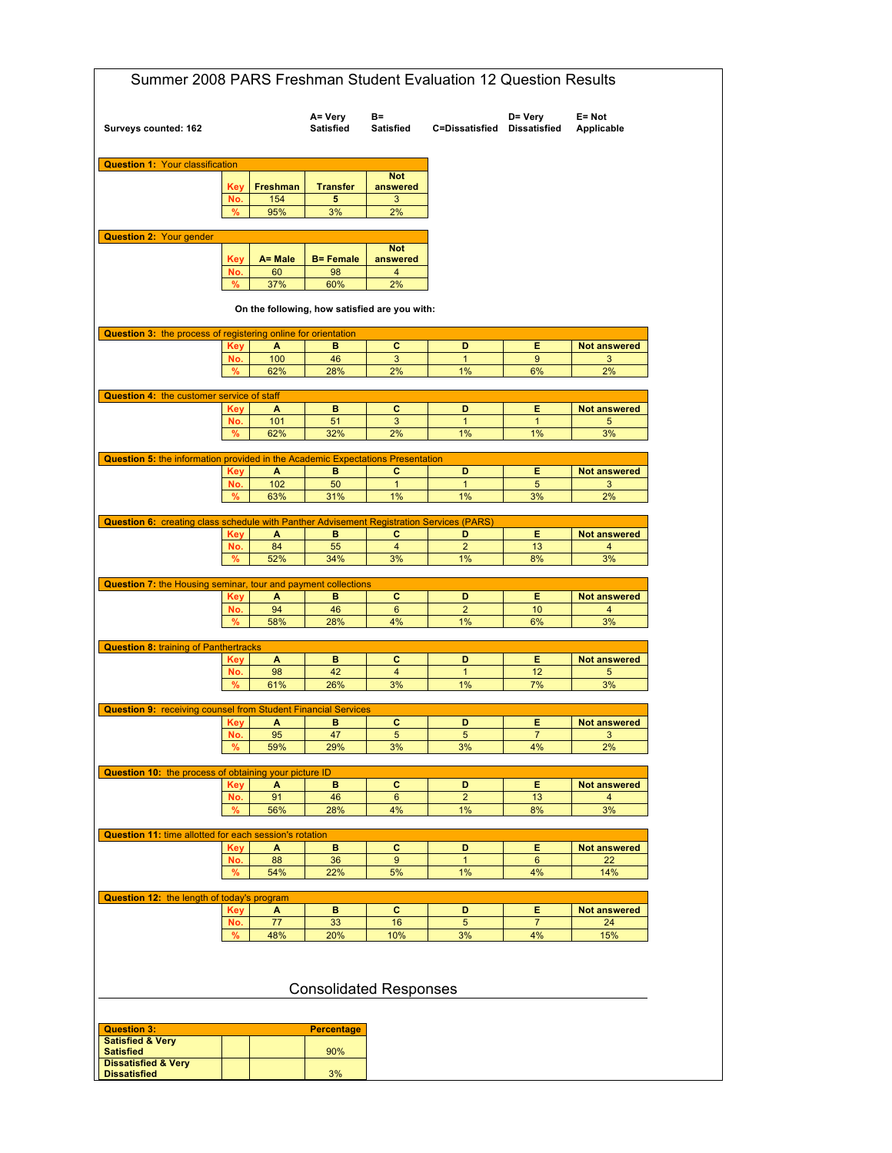| Surveys counted: 162                                                                                                                                          |             |                 | A= Very<br><b>Satisfied</b> | B=<br><b>Satisfied</b>                        | C=Dissatisfied Dissatisfied | D= Very              | E= Not<br>Applicable                |
|---------------------------------------------------------------------------------------------------------------------------------------------------------------|-------------|-----------------|-----------------------------|-----------------------------------------------|-----------------------------|----------------------|-------------------------------------|
| <b>Question 1: Your classification</b>                                                                                                                        |             |                 |                             |                                               |                             |                      |                                     |
|                                                                                                                                                               |             |                 |                             | <b>Not</b>                                    |                             |                      |                                     |
|                                                                                                                                                               | Key<br>No.  | Freshman<br>154 | <b>Transfer</b><br>5        | answered<br>3                                 |                             |                      |                                     |
|                                                                                                                                                               | %           | 95%             | 3%                          | 2%                                            |                             |                      |                                     |
|                                                                                                                                                               |             |                 |                             |                                               |                             |                      |                                     |
| <b>Question 2: Your gender</b>                                                                                                                                |             |                 |                             |                                               |                             |                      |                                     |
|                                                                                                                                                               | Key         | A= Male         | <b>B= Female</b>            | <b>Not</b><br>answered                        |                             |                      |                                     |
|                                                                                                                                                               | No.         | 60              | 98                          | $\overline{4}$                                |                             |                      |                                     |
|                                                                                                                                                               | %           | 37%             | 60%                         | 2%                                            |                             |                      |                                     |
|                                                                                                                                                               |             |                 |                             | On the following, how satisfied are you with: |                             |                      |                                     |
| <b>Question 3: the process of registering online for orientation</b>                                                                                          |             |                 |                             |                                               |                             |                      |                                     |
|                                                                                                                                                               | <b>Key</b>  | A               | в                           | c                                             | D                           | Е<br>$\overline{9}$  | <b>Not answered</b>                 |
|                                                                                                                                                               | No.<br>%    | 100<br>62%      | 46<br>28%                   | 3<br>2%                                       | $\mathbf{1}$<br>1%          | 6%                   | 3<br>2%                             |
|                                                                                                                                                               |             |                 |                             |                                               |                             |                      |                                     |
| Question 4: the customer service of staff                                                                                                                     |             |                 |                             |                                               |                             |                      |                                     |
|                                                                                                                                                               | Key         | A               | в                           | c                                             | D                           | Е                    | <b>Not answered</b>                 |
|                                                                                                                                                               | No.<br>%    | 101<br>62%      | 51<br>32%                   | 3<br>2%                                       | $\mathbf{1}$<br>1%          | $\mathbf{1}$<br>1%   | 5<br>3%                             |
|                                                                                                                                                               |             |                 |                             |                                               |                             |                      |                                     |
| Question 5: the information provided in the Academic Expectations Presentation                                                                                |             |                 |                             |                                               |                             |                      |                                     |
|                                                                                                                                                               | <b>Key</b>  | A               | в                           | c                                             | D                           | E.                   | <b>Not answered</b>                 |
|                                                                                                                                                               | No.<br>$\%$ | 102<br>63%      | 50<br>31%                   | $\mathbf{1}$<br>1%                            | $\mathbf{1}$<br>1%          | 5<br>3%              | 3<br>2%                             |
|                                                                                                                                                               |             |                 |                             |                                               |                             |                      |                                     |
| <b>Question 6:</b> creating class schedule with Panther Advisement Registration Services (PARS)                                                               |             |                 |                             |                                               |                             |                      |                                     |
|                                                                                                                                                               | Key         | A               | в                           | с                                             | D                           | Е                    | <b>Not answered</b>                 |
|                                                                                                                                                               | No.<br>%    | 84<br>52%       | 55<br>34%                   | $\overline{4}$<br>3%                          | $\overline{2}$<br>1%        | 13<br>8%             | 4<br>3%                             |
|                                                                                                                                                               |             |                 |                             |                                               |                             |                      |                                     |
| <b>Question 7: the Housing seminar, tour and payment collections</b>                                                                                          |             |                 |                             |                                               |                             |                      |                                     |
|                                                                                                                                                               | Key         | A               | в                           | c                                             | D                           | Е                    | <b>Not answered</b>                 |
|                                                                                                                                                               | No.<br>%    | 94<br>58%       | 46<br>28%                   | 6<br>4%                                       | $\overline{c}$<br>1%        | 10<br>6%             | 4<br>3%                             |
|                                                                                                                                                               |             |                 |                             |                                               |                             |                      |                                     |
| <b>Question 8: training of Panthertracks</b>                                                                                                                  |             |                 |                             |                                               |                             |                      |                                     |
|                                                                                                                                                               | Key         | А               | в                           | c                                             | D                           | Е                    | <b>Not answered</b>                 |
|                                                                                                                                                               | No.<br>%    | 98<br>61%       | 42<br>26%                   | $\overline{\mathbf{4}}$<br>3%                 | $\mathbf{1}$<br>1%          | 12<br>7%             | 5<br>3%                             |
|                                                                                                                                                               |             |                 |                             |                                               |                             |                      |                                     |
| <b>Question 9: receiving counsel from Student Financial Services</b>                                                                                          |             |                 |                             |                                               |                             |                      |                                     |
|                                                                                                                                                               |             | A               | в                           | C                                             | D                           | Е                    | <b>Not answered</b><br>$\mathbf{3}$ |
|                                                                                                                                                               | Key         |                 |                             |                                               |                             |                      |                                     |
|                                                                                                                                                               | No.         | 95              | 47                          | $5\phantom{.0}$                               | $5\phantom{.0}$             | $\overline{7}$       |                                     |
|                                                                                                                                                               | %           | 59%             | 29%                         | 3%                                            | 3%                          | 4%                   | 2%                                  |
|                                                                                                                                                               |             |                 |                             |                                               |                             |                      |                                     |
|                                                                                                                                                               | <b>Key</b>  | A               | в                           | $\mathbf c$                                   | D                           | Е                    | <b>Not answered</b>                 |
|                                                                                                                                                               | No.         | 91              | 46                          | 6                                             | $\overline{2}$              | 13                   | 4                                   |
|                                                                                                                                                               | %           | 56%             | 28%                         | 4%                                            | 1%                          | 8%                   | 3%                                  |
|                                                                                                                                                               |             |                 |                             |                                               |                             |                      |                                     |
|                                                                                                                                                               | <b>Key</b>  | A               | в                           | c                                             | D                           | Е                    | <b>Not answered</b>                 |
|                                                                                                                                                               | No.         | 88              | 36                          | $\boldsymbol{9}$                              | $\mathbf{1}$                | 6                    | 22                                  |
|                                                                                                                                                               | %           | 54%             | 22%                         | 5%                                            | 1%                          | 4%                   | 14%                                 |
|                                                                                                                                                               |             |                 |                             |                                               |                             |                      |                                     |
|                                                                                                                                                               | Key         | A               | B                           | $\mathbf{C}$                                  | D                           | Е                    | <b>Not answered</b>                 |
|                                                                                                                                                               | No.<br>%    | 77<br>48%       | 33<br>20%                   | 16<br>10%                                     | 5<br>3%                     | $\overline{7}$<br>4% | 24<br>15%                           |
| Question 10: the process of obtaining your picture ID<br>Question 11: time allotted for each session's rotation<br>Question 12: the length of today's program |             |                 |                             | <b>Consolidated Responses</b>                 |                             |                      |                                     |
|                                                                                                                                                               |             |                 |                             |                                               |                             |                      |                                     |
| <b>Question 3:</b>                                                                                                                                            |             |                 | <b>Percentage</b>           |                                               |                             |                      |                                     |
| <b>Satisfied &amp; Very</b><br><b>Satisfied</b>                                                                                                               |             |                 | 90%                         |                                               |                             |                      |                                     |
| <b>Dissatisfied &amp; Very</b><br><b>Dissatisfied</b>                                                                                                         |             |                 | 3%                          |                                               |                             |                      |                                     |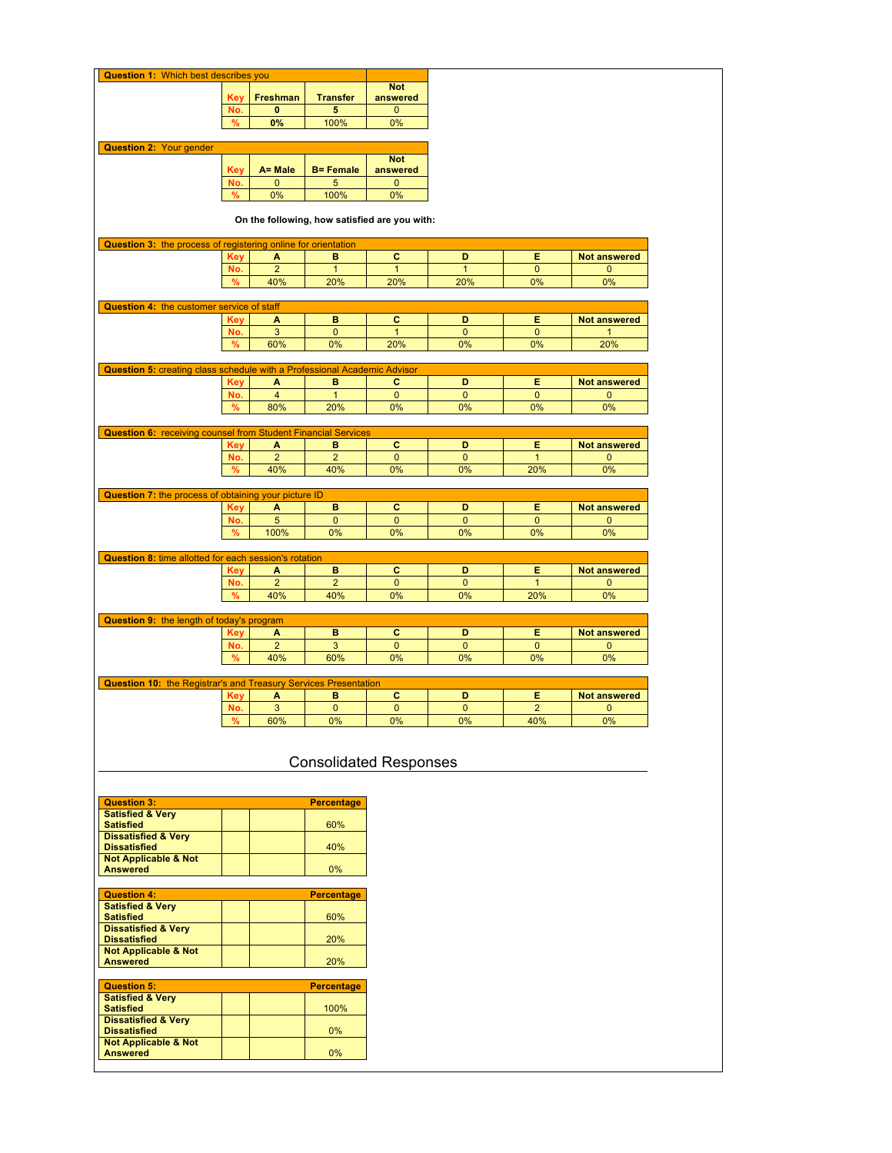| <b>Transfer</b><br>Freshman<br>answered<br><b>Key</b><br>No.<br>$\bf{0}$<br>5<br>0<br>$\%$<br>0%<br>100%<br>0%<br><b>Question 2: Your gender</b><br><b>Not</b><br>A= Male<br><b>Key</b><br><b>B</b> = Female<br>answered<br>No.<br>$\mathbf 0$<br>5<br>$\bf{0}$<br>0%<br>100%<br>0%<br>%<br>On the following, how satisfied are you with:<br>Question 3: the process of registering online for orientation<br>c<br>D<br>Е<br><b>Not answered</b><br><b>Key</b><br>в<br>A<br>$\overline{2}$<br>No.<br>$\mathbf{1}$<br>$\mathbf{1}$<br>$\mathbf{1}$<br>$\mathbf 0$<br>0<br>0%<br>$\%$<br>40%<br>20%<br>20%<br>20%<br>0%<br>Question 4: the customer service of staff<br>c<br>в<br>D<br>Е<br><b>Not answered</b><br>A<br>Key<br>3<br>$\mathbf 0$<br>$\mathbf{1}$<br>$\overline{0}$<br>No.<br>$\mathbf{0}$<br>$\mathbf{1}$<br>%<br>60%<br>0%<br>20%<br>0%<br>0%<br>20%<br><b>Question 5: creating class schedule with a Professional Academic Advisor</b><br>в<br>c<br>D<br>Е<br><b>Not answered</b><br><b>Key</b><br>A<br>No.<br>$\overline{4}$<br>$\mathbf{1}$<br>$\mathbf 0$<br>$\mathbf 0$<br>$\mathbf 0$<br>0<br>80%<br>0%<br>0%<br>0%<br>0%<br>%<br>20%<br><b>Question 6: receiving counsel from Student Financial Services</b><br>c<br><b>Not answered</b><br>Key<br>в<br>D<br>Е<br>A<br>$\overline{2}$<br>$\overline{2}$<br>$\overline{0}$<br>No.<br>$\mathbf{0}$<br>$\mathbf{1}$<br>0<br>40%<br>40%<br>0%<br>20%<br>0%<br>%<br>0%<br>Question 7: the process of obtaining your picture ID<br>C<br>в<br>D<br>Е<br>A<br><b>Not answered</b><br><b>Key</b><br>$\mathbf 0$<br>No.<br>5<br>$\mathbf{0}$<br>$\mathbf{0}$<br>$\mathbf{0}$<br>0<br>%<br>100%<br>0%<br>0%<br>0%<br>0%<br>0%<br>Question 8: time allotted for each session's rotation<br>c<br>в<br>D<br>Е<br><b>Not answered</b><br><b>Key</b><br>A<br>$\overline{2}$<br>No.<br>$\overline{2}$<br>$\mathbf 0$<br>$\mathbf{0}$<br>$\mathbf{1}$<br>0<br>%<br>0%<br>20%<br>0%<br>40%<br>40%<br>0%<br>Question 9: the length of today's program<br>в<br>c<br>Е<br><b>Not answered</b><br>D<br>Key<br>A<br>No.<br>$\overline{2}$<br>3<br>$\pmb{0}$<br>$\mathbf 0$<br>$\mathbf 0$<br>0<br>40%<br>60%<br>0%<br>0%<br>$0\%$<br>%<br>0%<br><b>Question 10: the Registrar's and Treasury Services Presentation</b><br>C<br>в<br>Ε<br><b>Not answered</b><br>D<br>A<br>Key<br>3<br>$\overline{2}$<br>No.<br>$\pmb{0}$<br>$\mathbf 0$<br>$\mathbf 0$<br>0<br>60%<br>40%<br>%<br>0%<br>0%<br>0%<br>0%<br><b>Consolidated Responses</b><br><b>Percentage</b><br><b>Satisfied &amp; Very</b><br>60%<br><b>Dissatisfied</b><br>40%<br>Not Applicable & Not<br>0%<br><b>Question 4:</b><br><b>Percentage</b><br><b>Satisfied &amp; Very</b><br><b>Satisfied</b><br>60%<br>20%<br><b>Not Applicable &amp; Not</b><br><b>Answered</b><br>20%<br><b>Percentage</b><br><b>Satisfied</b><br>100% | <b>Question 1: Which best describes you</b> |  |    |            |  |  |
|---------------------------------------------------------------------------------------------------------------------------------------------------------------------------------------------------------------------------------------------------------------------------------------------------------------------------------------------------------------------------------------------------------------------------------------------------------------------------------------------------------------------------------------------------------------------------------------------------------------------------------------------------------------------------------------------------------------------------------------------------------------------------------------------------------------------------------------------------------------------------------------------------------------------------------------------------------------------------------------------------------------------------------------------------------------------------------------------------------------------------------------------------------------------------------------------------------------------------------------------------------------------------------------------------------------------------------------------------------------------------------------------------------------------------------------------------------------------------------------------------------------------------------------------------------------------------------------------------------------------------------------------------------------------------------------------------------------------------------------------------------------------------------------------------------------------------------------------------------------------------------------------------------------------------------------------------------------------------------------------------------------------------------------------------------------------------------------------------------------------------------------------------------------------------------------------------------------------------------------------------------------------------------------------------------------------------------------------------------------------------------------------------------------------------------------------------------------------------------------------------------------------------------------------------------------------------------------------------------------------------------------------------------------------------------------------------------------------------------------------------------------------------------------------------------------------------------------|---------------------------------------------|--|----|------------|--|--|
|                                                                                                                                                                                                                                                                                                                                                                                                                                                                                                                                                                                                                                                                                                                                                                                                                                                                                                                                                                                                                                                                                                                                                                                                                                                                                                                                                                                                                                                                                                                                                                                                                                                                                                                                                                                                                                                                                                                                                                                                                                                                                                                                                                                                                                                                                                                                                                                                                                                                                                                                                                                                                                                                                                                                                                                                                                       |                                             |  |    | <b>Not</b> |  |  |
|                                                                                                                                                                                                                                                                                                                                                                                                                                                                                                                                                                                                                                                                                                                                                                                                                                                                                                                                                                                                                                                                                                                                                                                                                                                                                                                                                                                                                                                                                                                                                                                                                                                                                                                                                                                                                                                                                                                                                                                                                                                                                                                                                                                                                                                                                                                                                                                                                                                                                                                                                                                                                                                                                                                                                                                                                                       |                                             |  |    |            |  |  |
|                                                                                                                                                                                                                                                                                                                                                                                                                                                                                                                                                                                                                                                                                                                                                                                                                                                                                                                                                                                                                                                                                                                                                                                                                                                                                                                                                                                                                                                                                                                                                                                                                                                                                                                                                                                                                                                                                                                                                                                                                                                                                                                                                                                                                                                                                                                                                                                                                                                                                                                                                                                                                                                                                                                                                                                                                                       |                                             |  |    |            |  |  |
|                                                                                                                                                                                                                                                                                                                                                                                                                                                                                                                                                                                                                                                                                                                                                                                                                                                                                                                                                                                                                                                                                                                                                                                                                                                                                                                                                                                                                                                                                                                                                                                                                                                                                                                                                                                                                                                                                                                                                                                                                                                                                                                                                                                                                                                                                                                                                                                                                                                                                                                                                                                                                                                                                                                                                                                                                                       |                                             |  |    |            |  |  |
|                                                                                                                                                                                                                                                                                                                                                                                                                                                                                                                                                                                                                                                                                                                                                                                                                                                                                                                                                                                                                                                                                                                                                                                                                                                                                                                                                                                                                                                                                                                                                                                                                                                                                                                                                                                                                                                                                                                                                                                                                                                                                                                                                                                                                                                                                                                                                                                                                                                                                                                                                                                                                                                                                                                                                                                                                                       |                                             |  |    |            |  |  |
|                                                                                                                                                                                                                                                                                                                                                                                                                                                                                                                                                                                                                                                                                                                                                                                                                                                                                                                                                                                                                                                                                                                                                                                                                                                                                                                                                                                                                                                                                                                                                                                                                                                                                                                                                                                                                                                                                                                                                                                                                                                                                                                                                                                                                                                                                                                                                                                                                                                                                                                                                                                                                                                                                                                                                                                                                                       |                                             |  |    |            |  |  |
|                                                                                                                                                                                                                                                                                                                                                                                                                                                                                                                                                                                                                                                                                                                                                                                                                                                                                                                                                                                                                                                                                                                                                                                                                                                                                                                                                                                                                                                                                                                                                                                                                                                                                                                                                                                                                                                                                                                                                                                                                                                                                                                                                                                                                                                                                                                                                                                                                                                                                                                                                                                                                                                                                                                                                                                                                                       |                                             |  |    |            |  |  |
|                                                                                                                                                                                                                                                                                                                                                                                                                                                                                                                                                                                                                                                                                                                                                                                                                                                                                                                                                                                                                                                                                                                                                                                                                                                                                                                                                                                                                                                                                                                                                                                                                                                                                                                                                                                                                                                                                                                                                                                                                                                                                                                                                                                                                                                                                                                                                                                                                                                                                                                                                                                                                                                                                                                                                                                                                                       |                                             |  |    |            |  |  |
|                                                                                                                                                                                                                                                                                                                                                                                                                                                                                                                                                                                                                                                                                                                                                                                                                                                                                                                                                                                                                                                                                                                                                                                                                                                                                                                                                                                                                                                                                                                                                                                                                                                                                                                                                                                                                                                                                                                                                                                                                                                                                                                                                                                                                                                                                                                                                                                                                                                                                                                                                                                                                                                                                                                                                                                                                                       |                                             |  |    |            |  |  |
|                                                                                                                                                                                                                                                                                                                                                                                                                                                                                                                                                                                                                                                                                                                                                                                                                                                                                                                                                                                                                                                                                                                                                                                                                                                                                                                                                                                                                                                                                                                                                                                                                                                                                                                                                                                                                                                                                                                                                                                                                                                                                                                                                                                                                                                                                                                                                                                                                                                                                                                                                                                                                                                                                                                                                                                                                                       |                                             |  |    |            |  |  |
|                                                                                                                                                                                                                                                                                                                                                                                                                                                                                                                                                                                                                                                                                                                                                                                                                                                                                                                                                                                                                                                                                                                                                                                                                                                                                                                                                                                                                                                                                                                                                                                                                                                                                                                                                                                                                                                                                                                                                                                                                                                                                                                                                                                                                                                                                                                                                                                                                                                                                                                                                                                                                                                                                                                                                                                                                                       |                                             |  |    |            |  |  |
|                                                                                                                                                                                                                                                                                                                                                                                                                                                                                                                                                                                                                                                                                                                                                                                                                                                                                                                                                                                                                                                                                                                                                                                                                                                                                                                                                                                                                                                                                                                                                                                                                                                                                                                                                                                                                                                                                                                                                                                                                                                                                                                                                                                                                                                                                                                                                                                                                                                                                                                                                                                                                                                                                                                                                                                                                                       |                                             |  |    |            |  |  |
|                                                                                                                                                                                                                                                                                                                                                                                                                                                                                                                                                                                                                                                                                                                                                                                                                                                                                                                                                                                                                                                                                                                                                                                                                                                                                                                                                                                                                                                                                                                                                                                                                                                                                                                                                                                                                                                                                                                                                                                                                                                                                                                                                                                                                                                                                                                                                                                                                                                                                                                                                                                                                                                                                                                                                                                                                                       |                                             |  |    |            |  |  |
|                                                                                                                                                                                                                                                                                                                                                                                                                                                                                                                                                                                                                                                                                                                                                                                                                                                                                                                                                                                                                                                                                                                                                                                                                                                                                                                                                                                                                                                                                                                                                                                                                                                                                                                                                                                                                                                                                                                                                                                                                                                                                                                                                                                                                                                                                                                                                                                                                                                                                                                                                                                                                                                                                                                                                                                                                                       |                                             |  |    |            |  |  |
|                                                                                                                                                                                                                                                                                                                                                                                                                                                                                                                                                                                                                                                                                                                                                                                                                                                                                                                                                                                                                                                                                                                                                                                                                                                                                                                                                                                                                                                                                                                                                                                                                                                                                                                                                                                                                                                                                                                                                                                                                                                                                                                                                                                                                                                                                                                                                                                                                                                                                                                                                                                                                                                                                                                                                                                                                                       |                                             |  |    |            |  |  |
|                                                                                                                                                                                                                                                                                                                                                                                                                                                                                                                                                                                                                                                                                                                                                                                                                                                                                                                                                                                                                                                                                                                                                                                                                                                                                                                                                                                                                                                                                                                                                                                                                                                                                                                                                                                                                                                                                                                                                                                                                                                                                                                                                                                                                                                                                                                                                                                                                                                                                                                                                                                                                                                                                                                                                                                                                                       |                                             |  |    |            |  |  |
|                                                                                                                                                                                                                                                                                                                                                                                                                                                                                                                                                                                                                                                                                                                                                                                                                                                                                                                                                                                                                                                                                                                                                                                                                                                                                                                                                                                                                                                                                                                                                                                                                                                                                                                                                                                                                                                                                                                                                                                                                                                                                                                                                                                                                                                                                                                                                                                                                                                                                                                                                                                                                                                                                                                                                                                                                                       |                                             |  |    |            |  |  |
|                                                                                                                                                                                                                                                                                                                                                                                                                                                                                                                                                                                                                                                                                                                                                                                                                                                                                                                                                                                                                                                                                                                                                                                                                                                                                                                                                                                                                                                                                                                                                                                                                                                                                                                                                                                                                                                                                                                                                                                                                                                                                                                                                                                                                                                                                                                                                                                                                                                                                                                                                                                                                                                                                                                                                                                                                                       |                                             |  |    |            |  |  |
|                                                                                                                                                                                                                                                                                                                                                                                                                                                                                                                                                                                                                                                                                                                                                                                                                                                                                                                                                                                                                                                                                                                                                                                                                                                                                                                                                                                                                                                                                                                                                                                                                                                                                                                                                                                                                                                                                                                                                                                                                                                                                                                                                                                                                                                                                                                                                                                                                                                                                                                                                                                                                                                                                                                                                                                                                                       |                                             |  |    |            |  |  |
|                                                                                                                                                                                                                                                                                                                                                                                                                                                                                                                                                                                                                                                                                                                                                                                                                                                                                                                                                                                                                                                                                                                                                                                                                                                                                                                                                                                                                                                                                                                                                                                                                                                                                                                                                                                                                                                                                                                                                                                                                                                                                                                                                                                                                                                                                                                                                                                                                                                                                                                                                                                                                                                                                                                                                                                                                                       |                                             |  |    |            |  |  |
|                                                                                                                                                                                                                                                                                                                                                                                                                                                                                                                                                                                                                                                                                                                                                                                                                                                                                                                                                                                                                                                                                                                                                                                                                                                                                                                                                                                                                                                                                                                                                                                                                                                                                                                                                                                                                                                                                                                                                                                                                                                                                                                                                                                                                                                                                                                                                                                                                                                                                                                                                                                                                                                                                                                                                                                                                                       |                                             |  |    |            |  |  |
|                                                                                                                                                                                                                                                                                                                                                                                                                                                                                                                                                                                                                                                                                                                                                                                                                                                                                                                                                                                                                                                                                                                                                                                                                                                                                                                                                                                                                                                                                                                                                                                                                                                                                                                                                                                                                                                                                                                                                                                                                                                                                                                                                                                                                                                                                                                                                                                                                                                                                                                                                                                                                                                                                                                                                                                                                                       |                                             |  |    |            |  |  |
|                                                                                                                                                                                                                                                                                                                                                                                                                                                                                                                                                                                                                                                                                                                                                                                                                                                                                                                                                                                                                                                                                                                                                                                                                                                                                                                                                                                                                                                                                                                                                                                                                                                                                                                                                                                                                                                                                                                                                                                                                                                                                                                                                                                                                                                                                                                                                                                                                                                                                                                                                                                                                                                                                                                                                                                                                                       |                                             |  |    |            |  |  |
|                                                                                                                                                                                                                                                                                                                                                                                                                                                                                                                                                                                                                                                                                                                                                                                                                                                                                                                                                                                                                                                                                                                                                                                                                                                                                                                                                                                                                                                                                                                                                                                                                                                                                                                                                                                                                                                                                                                                                                                                                                                                                                                                                                                                                                                                                                                                                                                                                                                                                                                                                                                                                                                                                                                                                                                                                                       |                                             |  |    |            |  |  |
|                                                                                                                                                                                                                                                                                                                                                                                                                                                                                                                                                                                                                                                                                                                                                                                                                                                                                                                                                                                                                                                                                                                                                                                                                                                                                                                                                                                                                                                                                                                                                                                                                                                                                                                                                                                                                                                                                                                                                                                                                                                                                                                                                                                                                                                                                                                                                                                                                                                                                                                                                                                                                                                                                                                                                                                                                                       |                                             |  |    |            |  |  |
|                                                                                                                                                                                                                                                                                                                                                                                                                                                                                                                                                                                                                                                                                                                                                                                                                                                                                                                                                                                                                                                                                                                                                                                                                                                                                                                                                                                                                                                                                                                                                                                                                                                                                                                                                                                                                                                                                                                                                                                                                                                                                                                                                                                                                                                                                                                                                                                                                                                                                                                                                                                                                                                                                                                                                                                                                                       |                                             |  |    |            |  |  |
|                                                                                                                                                                                                                                                                                                                                                                                                                                                                                                                                                                                                                                                                                                                                                                                                                                                                                                                                                                                                                                                                                                                                                                                                                                                                                                                                                                                                                                                                                                                                                                                                                                                                                                                                                                                                                                                                                                                                                                                                                                                                                                                                                                                                                                                                                                                                                                                                                                                                                                                                                                                                                                                                                                                                                                                                                                       |                                             |  |    |            |  |  |
|                                                                                                                                                                                                                                                                                                                                                                                                                                                                                                                                                                                                                                                                                                                                                                                                                                                                                                                                                                                                                                                                                                                                                                                                                                                                                                                                                                                                                                                                                                                                                                                                                                                                                                                                                                                                                                                                                                                                                                                                                                                                                                                                                                                                                                                                                                                                                                                                                                                                                                                                                                                                                                                                                                                                                                                                                                       |                                             |  |    |            |  |  |
|                                                                                                                                                                                                                                                                                                                                                                                                                                                                                                                                                                                                                                                                                                                                                                                                                                                                                                                                                                                                                                                                                                                                                                                                                                                                                                                                                                                                                                                                                                                                                                                                                                                                                                                                                                                                                                                                                                                                                                                                                                                                                                                                                                                                                                                                                                                                                                                                                                                                                                                                                                                                                                                                                                                                                                                                                                       |                                             |  |    |            |  |  |
|                                                                                                                                                                                                                                                                                                                                                                                                                                                                                                                                                                                                                                                                                                                                                                                                                                                                                                                                                                                                                                                                                                                                                                                                                                                                                                                                                                                                                                                                                                                                                                                                                                                                                                                                                                                                                                                                                                                                                                                                                                                                                                                                                                                                                                                                                                                                                                                                                                                                                                                                                                                                                                                                                                                                                                                                                                       |                                             |  |    |            |  |  |
|                                                                                                                                                                                                                                                                                                                                                                                                                                                                                                                                                                                                                                                                                                                                                                                                                                                                                                                                                                                                                                                                                                                                                                                                                                                                                                                                                                                                                                                                                                                                                                                                                                                                                                                                                                                                                                                                                                                                                                                                                                                                                                                                                                                                                                                                                                                                                                                                                                                                                                                                                                                                                                                                                                                                                                                                                                       |                                             |  |    |            |  |  |
|                                                                                                                                                                                                                                                                                                                                                                                                                                                                                                                                                                                                                                                                                                                                                                                                                                                                                                                                                                                                                                                                                                                                                                                                                                                                                                                                                                                                                                                                                                                                                                                                                                                                                                                                                                                                                                                                                                                                                                                                                                                                                                                                                                                                                                                                                                                                                                                                                                                                                                                                                                                                                                                                                                                                                                                                                                       |                                             |  |    |            |  |  |
|                                                                                                                                                                                                                                                                                                                                                                                                                                                                                                                                                                                                                                                                                                                                                                                                                                                                                                                                                                                                                                                                                                                                                                                                                                                                                                                                                                                                                                                                                                                                                                                                                                                                                                                                                                                                                                                                                                                                                                                                                                                                                                                                                                                                                                                                                                                                                                                                                                                                                                                                                                                                                                                                                                                                                                                                                                       |                                             |  |    |            |  |  |
|                                                                                                                                                                                                                                                                                                                                                                                                                                                                                                                                                                                                                                                                                                                                                                                                                                                                                                                                                                                                                                                                                                                                                                                                                                                                                                                                                                                                                                                                                                                                                                                                                                                                                                                                                                                                                                                                                                                                                                                                                                                                                                                                                                                                                                                                                                                                                                                                                                                                                                                                                                                                                                                                                                                                                                                                                                       |                                             |  |    |            |  |  |
|                                                                                                                                                                                                                                                                                                                                                                                                                                                                                                                                                                                                                                                                                                                                                                                                                                                                                                                                                                                                                                                                                                                                                                                                                                                                                                                                                                                                                                                                                                                                                                                                                                                                                                                                                                                                                                                                                                                                                                                                                                                                                                                                                                                                                                                                                                                                                                                                                                                                                                                                                                                                                                                                                                                                                                                                                                       |                                             |  |    |            |  |  |
|                                                                                                                                                                                                                                                                                                                                                                                                                                                                                                                                                                                                                                                                                                                                                                                                                                                                                                                                                                                                                                                                                                                                                                                                                                                                                                                                                                                                                                                                                                                                                                                                                                                                                                                                                                                                                                                                                                                                                                                                                                                                                                                                                                                                                                                                                                                                                                                                                                                                                                                                                                                                                                                                                                                                                                                                                                       |                                             |  |    |            |  |  |
|                                                                                                                                                                                                                                                                                                                                                                                                                                                                                                                                                                                                                                                                                                                                                                                                                                                                                                                                                                                                                                                                                                                                                                                                                                                                                                                                                                                                                                                                                                                                                                                                                                                                                                                                                                                                                                                                                                                                                                                                                                                                                                                                                                                                                                                                                                                                                                                                                                                                                                                                                                                                                                                                                                                                                                                                                                       |                                             |  |    |            |  |  |
|                                                                                                                                                                                                                                                                                                                                                                                                                                                                                                                                                                                                                                                                                                                                                                                                                                                                                                                                                                                                                                                                                                                                                                                                                                                                                                                                                                                                                                                                                                                                                                                                                                                                                                                                                                                                                                                                                                                                                                                                                                                                                                                                                                                                                                                                                                                                                                                                                                                                                                                                                                                                                                                                                                                                                                                                                                       |                                             |  |    |            |  |  |
|                                                                                                                                                                                                                                                                                                                                                                                                                                                                                                                                                                                                                                                                                                                                                                                                                                                                                                                                                                                                                                                                                                                                                                                                                                                                                                                                                                                                                                                                                                                                                                                                                                                                                                                                                                                                                                                                                                                                                                                                                                                                                                                                                                                                                                                                                                                                                                                                                                                                                                                                                                                                                                                                                                                                                                                                                                       |                                             |  |    |            |  |  |
|                                                                                                                                                                                                                                                                                                                                                                                                                                                                                                                                                                                                                                                                                                                                                                                                                                                                                                                                                                                                                                                                                                                                                                                                                                                                                                                                                                                                                                                                                                                                                                                                                                                                                                                                                                                                                                                                                                                                                                                                                                                                                                                                                                                                                                                                                                                                                                                                                                                                                                                                                                                                                                                                                                                                                                                                                                       |                                             |  |    |            |  |  |
|                                                                                                                                                                                                                                                                                                                                                                                                                                                                                                                                                                                                                                                                                                                                                                                                                                                                                                                                                                                                                                                                                                                                                                                                                                                                                                                                                                                                                                                                                                                                                                                                                                                                                                                                                                                                                                                                                                                                                                                                                                                                                                                                                                                                                                                                                                                                                                                                                                                                                                                                                                                                                                                                                                                                                                                                                                       |                                             |  |    |            |  |  |
|                                                                                                                                                                                                                                                                                                                                                                                                                                                                                                                                                                                                                                                                                                                                                                                                                                                                                                                                                                                                                                                                                                                                                                                                                                                                                                                                                                                                                                                                                                                                                                                                                                                                                                                                                                                                                                                                                                                                                                                                                                                                                                                                                                                                                                                                                                                                                                                                                                                                                                                                                                                                                                                                                                                                                                                                                                       |                                             |  |    |            |  |  |
|                                                                                                                                                                                                                                                                                                                                                                                                                                                                                                                                                                                                                                                                                                                                                                                                                                                                                                                                                                                                                                                                                                                                                                                                                                                                                                                                                                                                                                                                                                                                                                                                                                                                                                                                                                                                                                                                                                                                                                                                                                                                                                                                                                                                                                                                                                                                                                                                                                                                                                                                                                                                                                                                                                                                                                                                                                       |                                             |  |    |            |  |  |
|                                                                                                                                                                                                                                                                                                                                                                                                                                                                                                                                                                                                                                                                                                                                                                                                                                                                                                                                                                                                                                                                                                                                                                                                                                                                                                                                                                                                                                                                                                                                                                                                                                                                                                                                                                                                                                                                                                                                                                                                                                                                                                                                                                                                                                                                                                                                                                                                                                                                                                                                                                                                                                                                                                                                                                                                                                       |                                             |  |    |            |  |  |
|                                                                                                                                                                                                                                                                                                                                                                                                                                                                                                                                                                                                                                                                                                                                                                                                                                                                                                                                                                                                                                                                                                                                                                                                                                                                                                                                                                                                                                                                                                                                                                                                                                                                                                                                                                                                                                                                                                                                                                                                                                                                                                                                                                                                                                                                                                                                                                                                                                                                                                                                                                                                                                                                                                                                                                                                                                       |                                             |  |    |            |  |  |
|                                                                                                                                                                                                                                                                                                                                                                                                                                                                                                                                                                                                                                                                                                                                                                                                                                                                                                                                                                                                                                                                                                                                                                                                                                                                                                                                                                                                                                                                                                                                                                                                                                                                                                                                                                                                                                                                                                                                                                                                                                                                                                                                                                                                                                                                                                                                                                                                                                                                                                                                                                                                                                                                                                                                                                                                                                       |                                             |  |    |            |  |  |
|                                                                                                                                                                                                                                                                                                                                                                                                                                                                                                                                                                                                                                                                                                                                                                                                                                                                                                                                                                                                                                                                                                                                                                                                                                                                                                                                                                                                                                                                                                                                                                                                                                                                                                                                                                                                                                                                                                                                                                                                                                                                                                                                                                                                                                                                                                                                                                                                                                                                                                                                                                                                                                                                                                                                                                                                                                       | <b>Question 3:</b>                          |  |    |            |  |  |
|                                                                                                                                                                                                                                                                                                                                                                                                                                                                                                                                                                                                                                                                                                                                                                                                                                                                                                                                                                                                                                                                                                                                                                                                                                                                                                                                                                                                                                                                                                                                                                                                                                                                                                                                                                                                                                                                                                                                                                                                                                                                                                                                                                                                                                                                                                                                                                                                                                                                                                                                                                                                                                                                                                                                                                                                                                       | <b>Satisfied</b>                            |  |    |            |  |  |
|                                                                                                                                                                                                                                                                                                                                                                                                                                                                                                                                                                                                                                                                                                                                                                                                                                                                                                                                                                                                                                                                                                                                                                                                                                                                                                                                                                                                                                                                                                                                                                                                                                                                                                                                                                                                                                                                                                                                                                                                                                                                                                                                                                                                                                                                                                                                                                                                                                                                                                                                                                                                                                                                                                                                                                                                                                       | <b>Dissatisfied &amp; Very</b>              |  |    |            |  |  |
|                                                                                                                                                                                                                                                                                                                                                                                                                                                                                                                                                                                                                                                                                                                                                                                                                                                                                                                                                                                                                                                                                                                                                                                                                                                                                                                                                                                                                                                                                                                                                                                                                                                                                                                                                                                                                                                                                                                                                                                                                                                                                                                                                                                                                                                                                                                                                                                                                                                                                                                                                                                                                                                                                                                                                                                                                                       |                                             |  |    |            |  |  |
|                                                                                                                                                                                                                                                                                                                                                                                                                                                                                                                                                                                                                                                                                                                                                                                                                                                                                                                                                                                                                                                                                                                                                                                                                                                                                                                                                                                                                                                                                                                                                                                                                                                                                                                                                                                                                                                                                                                                                                                                                                                                                                                                                                                                                                                                                                                                                                                                                                                                                                                                                                                                                                                                                                                                                                                                                                       | <b>Answered</b>                             |  |    |            |  |  |
|                                                                                                                                                                                                                                                                                                                                                                                                                                                                                                                                                                                                                                                                                                                                                                                                                                                                                                                                                                                                                                                                                                                                                                                                                                                                                                                                                                                                                                                                                                                                                                                                                                                                                                                                                                                                                                                                                                                                                                                                                                                                                                                                                                                                                                                                                                                                                                                                                                                                                                                                                                                                                                                                                                                                                                                                                                       |                                             |  |    |            |  |  |
|                                                                                                                                                                                                                                                                                                                                                                                                                                                                                                                                                                                                                                                                                                                                                                                                                                                                                                                                                                                                                                                                                                                                                                                                                                                                                                                                                                                                                                                                                                                                                                                                                                                                                                                                                                                                                                                                                                                                                                                                                                                                                                                                                                                                                                                                                                                                                                                                                                                                                                                                                                                                                                                                                                                                                                                                                                       |                                             |  |    |            |  |  |
|                                                                                                                                                                                                                                                                                                                                                                                                                                                                                                                                                                                                                                                                                                                                                                                                                                                                                                                                                                                                                                                                                                                                                                                                                                                                                                                                                                                                                                                                                                                                                                                                                                                                                                                                                                                                                                                                                                                                                                                                                                                                                                                                                                                                                                                                                                                                                                                                                                                                                                                                                                                                                                                                                                                                                                                                                                       |                                             |  |    |            |  |  |
|                                                                                                                                                                                                                                                                                                                                                                                                                                                                                                                                                                                                                                                                                                                                                                                                                                                                                                                                                                                                                                                                                                                                                                                                                                                                                                                                                                                                                                                                                                                                                                                                                                                                                                                                                                                                                                                                                                                                                                                                                                                                                                                                                                                                                                                                                                                                                                                                                                                                                                                                                                                                                                                                                                                                                                                                                                       | <b>Dissatisfied &amp; Very</b>              |  |    |            |  |  |
|                                                                                                                                                                                                                                                                                                                                                                                                                                                                                                                                                                                                                                                                                                                                                                                                                                                                                                                                                                                                                                                                                                                                                                                                                                                                                                                                                                                                                                                                                                                                                                                                                                                                                                                                                                                                                                                                                                                                                                                                                                                                                                                                                                                                                                                                                                                                                                                                                                                                                                                                                                                                                                                                                                                                                                                                                                       | <b>Dissatisfied</b>                         |  |    |            |  |  |
|                                                                                                                                                                                                                                                                                                                                                                                                                                                                                                                                                                                                                                                                                                                                                                                                                                                                                                                                                                                                                                                                                                                                                                                                                                                                                                                                                                                                                                                                                                                                                                                                                                                                                                                                                                                                                                                                                                                                                                                                                                                                                                                                                                                                                                                                                                                                                                                                                                                                                                                                                                                                                                                                                                                                                                                                                                       |                                             |  |    |            |  |  |
|                                                                                                                                                                                                                                                                                                                                                                                                                                                                                                                                                                                                                                                                                                                                                                                                                                                                                                                                                                                                                                                                                                                                                                                                                                                                                                                                                                                                                                                                                                                                                                                                                                                                                                                                                                                                                                                                                                                                                                                                                                                                                                                                                                                                                                                                                                                                                                                                                                                                                                                                                                                                                                                                                                                                                                                                                                       |                                             |  |    |            |  |  |
|                                                                                                                                                                                                                                                                                                                                                                                                                                                                                                                                                                                                                                                                                                                                                                                                                                                                                                                                                                                                                                                                                                                                                                                                                                                                                                                                                                                                                                                                                                                                                                                                                                                                                                                                                                                                                                                                                                                                                                                                                                                                                                                                                                                                                                                                                                                                                                                                                                                                                                                                                                                                                                                                                                                                                                                                                                       | <b>Question 5:</b>                          |  |    |            |  |  |
|                                                                                                                                                                                                                                                                                                                                                                                                                                                                                                                                                                                                                                                                                                                                                                                                                                                                                                                                                                                                                                                                                                                                                                                                                                                                                                                                                                                                                                                                                                                                                                                                                                                                                                                                                                                                                                                                                                                                                                                                                                                                                                                                                                                                                                                                                                                                                                                                                                                                                                                                                                                                                                                                                                                                                                                                                                       | <b>Satisfied &amp; Very</b>                 |  |    |            |  |  |
|                                                                                                                                                                                                                                                                                                                                                                                                                                                                                                                                                                                                                                                                                                                                                                                                                                                                                                                                                                                                                                                                                                                                                                                                                                                                                                                                                                                                                                                                                                                                                                                                                                                                                                                                                                                                                                                                                                                                                                                                                                                                                                                                                                                                                                                                                                                                                                                                                                                                                                                                                                                                                                                                                                                                                                                                                                       | <b>Dissatisfied &amp; Very</b>              |  |    |            |  |  |
|                                                                                                                                                                                                                                                                                                                                                                                                                                                                                                                                                                                                                                                                                                                                                                                                                                                                                                                                                                                                                                                                                                                                                                                                                                                                                                                                                                                                                                                                                                                                                                                                                                                                                                                                                                                                                                                                                                                                                                                                                                                                                                                                                                                                                                                                                                                                                                                                                                                                                                                                                                                                                                                                                                                                                                                                                                       | <b>Dissatisfied</b>                         |  | 0% |            |  |  |
| <b>Not Applicable &amp; Not</b><br>0%<br><b>Answered</b>                                                                                                                                                                                                                                                                                                                                                                                                                                                                                                                                                                                                                                                                                                                                                                                                                                                                                                                                                                                                                                                                                                                                                                                                                                                                                                                                                                                                                                                                                                                                                                                                                                                                                                                                                                                                                                                                                                                                                                                                                                                                                                                                                                                                                                                                                                                                                                                                                                                                                                                                                                                                                                                                                                                                                                              |                                             |  |    |            |  |  |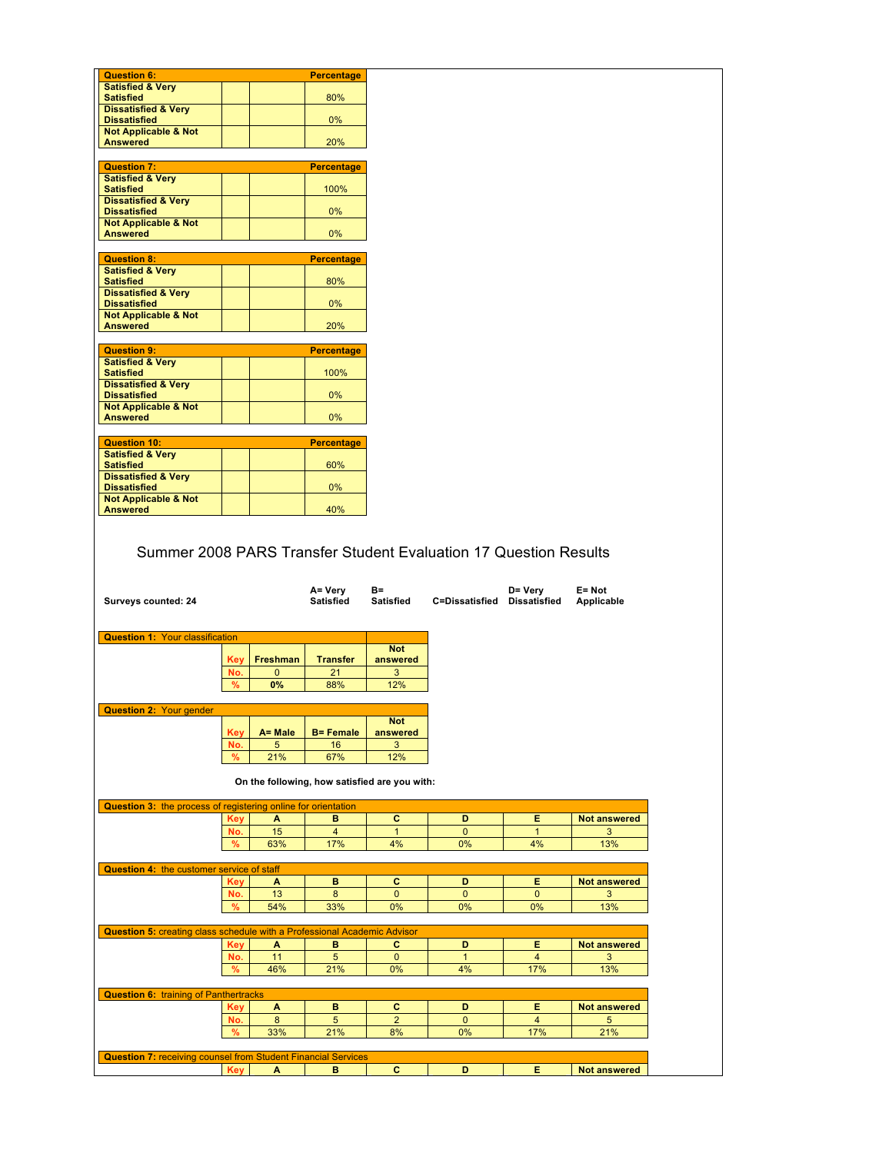| <b>Satisfied &amp; Very</b><br><b>Satisfied</b><br>80%<br><b>Dissatisfied &amp; Very</b><br><b>Dissatisfied</b><br>0%<br><b>Not Applicable &amp; Not</b><br><b>Answered</b><br>20%<br><b>Question 7:</b><br><b>Percentage</b><br><b>Satisfied &amp; Very</b><br>100%<br><b>Satisfied</b><br><b>Dissatisfied &amp; Very</b><br><b>Dissatisfied</b><br>$0\%$<br><b>Not Applicable &amp; Not</b><br>0%<br><b>Answered</b><br><b>Question 8:</b><br><b>Percentage</b><br><b>Satisfied &amp; Very</b><br><b>Satisfied</b><br>80%<br><b>Dissatisfied &amp; Very</b><br><b>Dissatisfied</b><br>$0\%$<br><b>Not Applicable &amp; Not</b><br><b>Answered</b><br>20%<br><b>Question 9:</b><br><b>Percentage</b><br><b>Satisfied &amp; Very</b><br><b>Satisfied</b><br>100%<br><b>Dissatisfied &amp; Very</b><br><b>Dissatisfied</b><br>0%<br><b>Not Applicable &amp; Not</b><br>0%<br><b>Answered</b><br><b>Question 10:</b><br><b>Percentage</b><br><b>Satisfied &amp; Very</b><br><b>Satisfied</b><br>60%<br><b>Dissatisfied &amp; Very</b><br>$0\%$<br><b>Dissatisfied</b><br><b>Not Applicable &amp; Not</b><br>40%<br><b>Answered</b><br>Summer 2008 PARS Transfer Student Evaluation 17 Question Results<br>A= Very<br>B=<br>D= Very<br>$E = Not$<br><b>Satisfied</b><br>C=Dissatisfied Dissatisfied<br>Surveys counted: 24<br>Satisfied<br>Applicable<br><b>Question 1: Your classification</b><br><b>Not</b><br>Key   Freshman<br><b>Transfer</b><br>answered<br>21<br>No.<br>$\mathbf{0}$<br>3<br>$\%$<br>0%<br>88%<br>12%<br><b>Question 2: Your gender</b><br><b>Not</b><br>A= Male<br><b>B</b> = Female<br>answered<br>Key<br>No.<br>16<br>3<br>5<br>21%<br>67%<br>12%<br>%<br>On the following, how satisfied are you with:<br>Question 3: the process of registering online for orientation<br>c<br><b>Key</b><br>A<br>D<br>Е<br><b>Not answered</b><br>в<br>15<br>$\overline{\mathbf{4}}$<br>No.<br>$\mathbf{1}$<br>$\mathbf{0}$<br>$\mathbf{1}$<br>63%<br>17%<br>4%<br>0%<br>4%<br>13%<br>%<br><b>Question 4: the customer service of staff</b><br>c<br>D<br>в<br>Е<br><b>Not answered</b><br>Key<br>A<br>13<br>8<br>$\pmb{0}$<br>$\mathbf 0$<br>$\mathbf 0$<br>No.<br>54%<br>0%<br>0%<br>13%<br>%<br>33%<br>0%<br><b>Question 5: creating class schedule with a Professional Academic Advisor</b><br>D<br>Е<br><b>Key</b><br>в<br>С<br><b>Not answered</b><br>A<br>11<br>5<br>$\mathbf 0$<br>$\overline{4}$<br>No.<br>$\mathbf{1}$<br>46%<br>21%<br>0%<br>4%<br>17%<br>13%<br>%<br><b>Question 6: training of Panthertracks</b><br>c<br><b>Not answered</b><br><b>Key</b><br>A<br>в<br>D<br>E<br>$\overline{2}$<br>8<br>5<br>$\overline{4}$<br>No.<br>$\mathbf{0}$<br>17%<br>21%<br>%<br>33%<br>21%<br>8%<br>0% |  |  |  |  |
|------------------------------------------------------------------------------------------------------------------------------------------------------------------------------------------------------------------------------------------------------------------------------------------------------------------------------------------------------------------------------------------------------------------------------------------------------------------------------------------------------------------------------------------------------------------------------------------------------------------------------------------------------------------------------------------------------------------------------------------------------------------------------------------------------------------------------------------------------------------------------------------------------------------------------------------------------------------------------------------------------------------------------------------------------------------------------------------------------------------------------------------------------------------------------------------------------------------------------------------------------------------------------------------------------------------------------------------------------------------------------------------------------------------------------------------------------------------------------------------------------------------------------------------------------------------------------------------------------------------------------------------------------------------------------------------------------------------------------------------------------------------------------------------------------------------------------------------------------------------------------------------------------------------------------------------------------------------------------------------------------------------------------------------------------------------------------------------------------------------------------------------------------------------------------------------------------------------------------------------------------------------------------------------------------------------------------------------------------------------------------------------------------------------------------------------------------------------------------------------------------------------------------------------------------------------------------------------------------------------------------------------------------------------------------------------------------------------------|--|--|--|--|
|                                                                                                                                                                                                                                                                                                                                                                                                                                                                                                                                                                                                                                                                                                                                                                                                                                                                                                                                                                                                                                                                                                                                                                                                                                                                                                                                                                                                                                                                                                                                                                                                                                                                                                                                                                                                                                                                                                                                                                                                                                                                                                                                                                                                                                                                                                                                                                                                                                                                                                                                                                                                                                                                                                                        |  |  |  |  |
|                                                                                                                                                                                                                                                                                                                                                                                                                                                                                                                                                                                                                                                                                                                                                                                                                                                                                                                                                                                                                                                                                                                                                                                                                                                                                                                                                                                                                                                                                                                                                                                                                                                                                                                                                                                                                                                                                                                                                                                                                                                                                                                                                                                                                                                                                                                                                                                                                                                                                                                                                                                                                                                                                                                        |  |  |  |  |
|                                                                                                                                                                                                                                                                                                                                                                                                                                                                                                                                                                                                                                                                                                                                                                                                                                                                                                                                                                                                                                                                                                                                                                                                                                                                                                                                                                                                                                                                                                                                                                                                                                                                                                                                                                                                                                                                                                                                                                                                                                                                                                                                                                                                                                                                                                                                                                                                                                                                                                                                                                                                                                                                                                                        |  |  |  |  |
|                                                                                                                                                                                                                                                                                                                                                                                                                                                                                                                                                                                                                                                                                                                                                                                                                                                                                                                                                                                                                                                                                                                                                                                                                                                                                                                                                                                                                                                                                                                                                                                                                                                                                                                                                                                                                                                                                                                                                                                                                                                                                                                                                                                                                                                                                                                                                                                                                                                                                                                                                                                                                                                                                                                        |  |  |  |  |
|                                                                                                                                                                                                                                                                                                                                                                                                                                                                                                                                                                                                                                                                                                                                                                                                                                                                                                                                                                                                                                                                                                                                                                                                                                                                                                                                                                                                                                                                                                                                                                                                                                                                                                                                                                                                                                                                                                                                                                                                                                                                                                                                                                                                                                                                                                                                                                                                                                                                                                                                                                                                                                                                                                                        |  |  |  |  |
|                                                                                                                                                                                                                                                                                                                                                                                                                                                                                                                                                                                                                                                                                                                                                                                                                                                                                                                                                                                                                                                                                                                                                                                                                                                                                                                                                                                                                                                                                                                                                                                                                                                                                                                                                                                                                                                                                                                                                                                                                                                                                                                                                                                                                                                                                                                                                                                                                                                                                                                                                                                                                                                                                                                        |  |  |  |  |
|                                                                                                                                                                                                                                                                                                                                                                                                                                                                                                                                                                                                                                                                                                                                                                                                                                                                                                                                                                                                                                                                                                                                                                                                                                                                                                                                                                                                                                                                                                                                                                                                                                                                                                                                                                                                                                                                                                                                                                                                                                                                                                                                                                                                                                                                                                                                                                                                                                                                                                                                                                                                                                                                                                                        |  |  |  |  |
|                                                                                                                                                                                                                                                                                                                                                                                                                                                                                                                                                                                                                                                                                                                                                                                                                                                                                                                                                                                                                                                                                                                                                                                                                                                                                                                                                                                                                                                                                                                                                                                                                                                                                                                                                                                                                                                                                                                                                                                                                                                                                                                                                                                                                                                                                                                                                                                                                                                                                                                                                                                                                                                                                                                        |  |  |  |  |
|                                                                                                                                                                                                                                                                                                                                                                                                                                                                                                                                                                                                                                                                                                                                                                                                                                                                                                                                                                                                                                                                                                                                                                                                                                                                                                                                                                                                                                                                                                                                                                                                                                                                                                                                                                                                                                                                                                                                                                                                                                                                                                                                                                                                                                                                                                                                                                                                                                                                                                                                                                                                                                                                                                                        |  |  |  |  |
|                                                                                                                                                                                                                                                                                                                                                                                                                                                                                                                                                                                                                                                                                                                                                                                                                                                                                                                                                                                                                                                                                                                                                                                                                                                                                                                                                                                                                                                                                                                                                                                                                                                                                                                                                                                                                                                                                                                                                                                                                                                                                                                                                                                                                                                                                                                                                                                                                                                                                                                                                                                                                                                                                                                        |  |  |  |  |
|                                                                                                                                                                                                                                                                                                                                                                                                                                                                                                                                                                                                                                                                                                                                                                                                                                                                                                                                                                                                                                                                                                                                                                                                                                                                                                                                                                                                                                                                                                                                                                                                                                                                                                                                                                                                                                                                                                                                                                                                                                                                                                                                                                                                                                                                                                                                                                                                                                                                                                                                                                                                                                                                                                                        |  |  |  |  |
|                                                                                                                                                                                                                                                                                                                                                                                                                                                                                                                                                                                                                                                                                                                                                                                                                                                                                                                                                                                                                                                                                                                                                                                                                                                                                                                                                                                                                                                                                                                                                                                                                                                                                                                                                                                                                                                                                                                                                                                                                                                                                                                                                                                                                                                                                                                                                                                                                                                                                                                                                                                                                                                                                                                        |  |  |  |  |
|                                                                                                                                                                                                                                                                                                                                                                                                                                                                                                                                                                                                                                                                                                                                                                                                                                                                                                                                                                                                                                                                                                                                                                                                                                                                                                                                                                                                                                                                                                                                                                                                                                                                                                                                                                                                                                                                                                                                                                                                                                                                                                                                                                                                                                                                                                                                                                                                                                                                                                                                                                                                                                                                                                                        |  |  |  |  |
|                                                                                                                                                                                                                                                                                                                                                                                                                                                                                                                                                                                                                                                                                                                                                                                                                                                                                                                                                                                                                                                                                                                                                                                                                                                                                                                                                                                                                                                                                                                                                                                                                                                                                                                                                                                                                                                                                                                                                                                                                                                                                                                                                                                                                                                                                                                                                                                                                                                                                                                                                                                                                                                                                                                        |  |  |  |  |
|                                                                                                                                                                                                                                                                                                                                                                                                                                                                                                                                                                                                                                                                                                                                                                                                                                                                                                                                                                                                                                                                                                                                                                                                                                                                                                                                                                                                                                                                                                                                                                                                                                                                                                                                                                                                                                                                                                                                                                                                                                                                                                                                                                                                                                                                                                                                                                                                                                                                                                                                                                                                                                                                                                                        |  |  |  |  |
|                                                                                                                                                                                                                                                                                                                                                                                                                                                                                                                                                                                                                                                                                                                                                                                                                                                                                                                                                                                                                                                                                                                                                                                                                                                                                                                                                                                                                                                                                                                                                                                                                                                                                                                                                                                                                                                                                                                                                                                                                                                                                                                                                                                                                                                                                                                                                                                                                                                                                                                                                                                                                                                                                                                        |  |  |  |  |
|                                                                                                                                                                                                                                                                                                                                                                                                                                                                                                                                                                                                                                                                                                                                                                                                                                                                                                                                                                                                                                                                                                                                                                                                                                                                                                                                                                                                                                                                                                                                                                                                                                                                                                                                                                                                                                                                                                                                                                                                                                                                                                                                                                                                                                                                                                                                                                                                                                                                                                                                                                                                                                                                                                                        |  |  |  |  |
|                                                                                                                                                                                                                                                                                                                                                                                                                                                                                                                                                                                                                                                                                                                                                                                                                                                                                                                                                                                                                                                                                                                                                                                                                                                                                                                                                                                                                                                                                                                                                                                                                                                                                                                                                                                                                                                                                                                                                                                                                                                                                                                                                                                                                                                                                                                                                                                                                                                                                                                                                                                                                                                                                                                        |  |  |  |  |
|                                                                                                                                                                                                                                                                                                                                                                                                                                                                                                                                                                                                                                                                                                                                                                                                                                                                                                                                                                                                                                                                                                                                                                                                                                                                                                                                                                                                                                                                                                                                                                                                                                                                                                                                                                                                                                                                                                                                                                                                                                                                                                                                                                                                                                                                                                                                                                                                                                                                                                                                                                                                                                                                                                                        |  |  |  |  |
|                                                                                                                                                                                                                                                                                                                                                                                                                                                                                                                                                                                                                                                                                                                                                                                                                                                                                                                                                                                                                                                                                                                                                                                                                                                                                                                                                                                                                                                                                                                                                                                                                                                                                                                                                                                                                                                                                                                                                                                                                                                                                                                                                                                                                                                                                                                                                                                                                                                                                                                                                                                                                                                                                                                        |  |  |  |  |
|                                                                                                                                                                                                                                                                                                                                                                                                                                                                                                                                                                                                                                                                                                                                                                                                                                                                                                                                                                                                                                                                                                                                                                                                                                                                                                                                                                                                                                                                                                                                                                                                                                                                                                                                                                                                                                                                                                                                                                                                                                                                                                                                                                                                                                                                                                                                                                                                                                                                                                                                                                                                                                                                                                                        |  |  |  |  |
|                                                                                                                                                                                                                                                                                                                                                                                                                                                                                                                                                                                                                                                                                                                                                                                                                                                                                                                                                                                                                                                                                                                                                                                                                                                                                                                                                                                                                                                                                                                                                                                                                                                                                                                                                                                                                                                                                                                                                                                                                                                                                                                                                                                                                                                                                                                                                                                                                                                                                                                                                                                                                                                                                                                        |  |  |  |  |
|                                                                                                                                                                                                                                                                                                                                                                                                                                                                                                                                                                                                                                                                                                                                                                                                                                                                                                                                                                                                                                                                                                                                                                                                                                                                                                                                                                                                                                                                                                                                                                                                                                                                                                                                                                                                                                                                                                                                                                                                                                                                                                                                                                                                                                                                                                                                                                                                                                                                                                                                                                                                                                                                                                                        |  |  |  |  |
|                                                                                                                                                                                                                                                                                                                                                                                                                                                                                                                                                                                                                                                                                                                                                                                                                                                                                                                                                                                                                                                                                                                                                                                                                                                                                                                                                                                                                                                                                                                                                                                                                                                                                                                                                                                                                                                                                                                                                                                                                                                                                                                                                                                                                                                                                                                                                                                                                                                                                                                                                                                                                                                                                                                        |  |  |  |  |
|                                                                                                                                                                                                                                                                                                                                                                                                                                                                                                                                                                                                                                                                                                                                                                                                                                                                                                                                                                                                                                                                                                                                                                                                                                                                                                                                                                                                                                                                                                                                                                                                                                                                                                                                                                                                                                                                                                                                                                                                                                                                                                                                                                                                                                                                                                                                                                                                                                                                                                                                                                                                                                                                                                                        |  |  |  |  |
|                                                                                                                                                                                                                                                                                                                                                                                                                                                                                                                                                                                                                                                                                                                                                                                                                                                                                                                                                                                                                                                                                                                                                                                                                                                                                                                                                                                                                                                                                                                                                                                                                                                                                                                                                                                                                                                                                                                                                                                                                                                                                                                                                                                                                                                                                                                                                                                                                                                                                                                                                                                                                                                                                                                        |  |  |  |  |
|                                                                                                                                                                                                                                                                                                                                                                                                                                                                                                                                                                                                                                                                                                                                                                                                                                                                                                                                                                                                                                                                                                                                                                                                                                                                                                                                                                                                                                                                                                                                                                                                                                                                                                                                                                                                                                                                                                                                                                                                                                                                                                                                                                                                                                                                                                                                                                                                                                                                                                                                                                                                                                                                                                                        |  |  |  |  |
|                                                                                                                                                                                                                                                                                                                                                                                                                                                                                                                                                                                                                                                                                                                                                                                                                                                                                                                                                                                                                                                                                                                                                                                                                                                                                                                                                                                                                                                                                                                                                                                                                                                                                                                                                                                                                                                                                                                                                                                                                                                                                                                                                                                                                                                                                                                                                                                                                                                                                                                                                                                                                                                                                                                        |  |  |  |  |
|                                                                                                                                                                                                                                                                                                                                                                                                                                                                                                                                                                                                                                                                                                                                                                                                                                                                                                                                                                                                                                                                                                                                                                                                                                                                                                                                                                                                                                                                                                                                                                                                                                                                                                                                                                                                                                                                                                                                                                                                                                                                                                                                                                                                                                                                                                                                                                                                                                                                                                                                                                                                                                                                                                                        |  |  |  |  |
|                                                                                                                                                                                                                                                                                                                                                                                                                                                                                                                                                                                                                                                                                                                                                                                                                                                                                                                                                                                                                                                                                                                                                                                                                                                                                                                                                                                                                                                                                                                                                                                                                                                                                                                                                                                                                                                                                                                                                                                                                                                                                                                                                                                                                                                                                                                                                                                                                                                                                                                                                                                                                                                                                                                        |  |  |  |  |
|                                                                                                                                                                                                                                                                                                                                                                                                                                                                                                                                                                                                                                                                                                                                                                                                                                                                                                                                                                                                                                                                                                                                                                                                                                                                                                                                                                                                                                                                                                                                                                                                                                                                                                                                                                                                                                                                                                                                                                                                                                                                                                                                                                                                                                                                                                                                                                                                                                                                                                                                                                                                                                                                                                                        |  |  |  |  |
|                                                                                                                                                                                                                                                                                                                                                                                                                                                                                                                                                                                                                                                                                                                                                                                                                                                                                                                                                                                                                                                                                                                                                                                                                                                                                                                                                                                                                                                                                                                                                                                                                                                                                                                                                                                                                                                                                                                                                                                                                                                                                                                                                                                                                                                                                                                                                                                                                                                                                                                                                                                                                                                                                                                        |  |  |  |  |
|                                                                                                                                                                                                                                                                                                                                                                                                                                                                                                                                                                                                                                                                                                                                                                                                                                                                                                                                                                                                                                                                                                                                                                                                                                                                                                                                                                                                                                                                                                                                                                                                                                                                                                                                                                                                                                                                                                                                                                                                                                                                                                                                                                                                                                                                                                                                                                                                                                                                                                                                                                                                                                                                                                                        |  |  |  |  |
|                                                                                                                                                                                                                                                                                                                                                                                                                                                                                                                                                                                                                                                                                                                                                                                                                                                                                                                                                                                                                                                                                                                                                                                                                                                                                                                                                                                                                                                                                                                                                                                                                                                                                                                                                                                                                                                                                                                                                                                                                                                                                                                                                                                                                                                                                                                                                                                                                                                                                                                                                                                                                                                                                                                        |  |  |  |  |
|                                                                                                                                                                                                                                                                                                                                                                                                                                                                                                                                                                                                                                                                                                                                                                                                                                                                                                                                                                                                                                                                                                                                                                                                                                                                                                                                                                                                                                                                                                                                                                                                                                                                                                                                                                                                                                                                                                                                                                                                                                                                                                                                                                                                                                                                                                                                                                                                                                                                                                                                                                                                                                                                                                                        |  |  |  |  |
|                                                                                                                                                                                                                                                                                                                                                                                                                                                                                                                                                                                                                                                                                                                                                                                                                                                                                                                                                                                                                                                                                                                                                                                                                                                                                                                                                                                                                                                                                                                                                                                                                                                                                                                                                                                                                                                                                                                                                                                                                                                                                                                                                                                                                                                                                                                                                                                                                                                                                                                                                                                                                                                                                                                        |  |  |  |  |
|                                                                                                                                                                                                                                                                                                                                                                                                                                                                                                                                                                                                                                                                                                                                                                                                                                                                                                                                                                                                                                                                                                                                                                                                                                                                                                                                                                                                                                                                                                                                                                                                                                                                                                                                                                                                                                                                                                                                                                                                                                                                                                                                                                                                                                                                                                                                                                                                                                                                                                                                                                                                                                                                                                                        |  |  |  |  |
|                                                                                                                                                                                                                                                                                                                                                                                                                                                                                                                                                                                                                                                                                                                                                                                                                                                                                                                                                                                                                                                                                                                                                                                                                                                                                                                                                                                                                                                                                                                                                                                                                                                                                                                                                                                                                                                                                                                                                                                                                                                                                                                                                                                                                                                                                                                                                                                                                                                                                                                                                                                                                                                                                                                        |  |  |  |  |
|                                                                                                                                                                                                                                                                                                                                                                                                                                                                                                                                                                                                                                                                                                                                                                                                                                                                                                                                                                                                                                                                                                                                                                                                                                                                                                                                                                                                                                                                                                                                                                                                                                                                                                                                                                                                                                                                                                                                                                                                                                                                                                                                                                                                                                                                                                                                                                                                                                                                                                                                                                                                                                                                                                                        |  |  |  |  |
|                                                                                                                                                                                                                                                                                                                                                                                                                                                                                                                                                                                                                                                                                                                                                                                                                                                                                                                                                                                                                                                                                                                                                                                                                                                                                                                                                                                                                                                                                                                                                                                                                                                                                                                                                                                                                                                                                                                                                                                                                                                                                                                                                                                                                                                                                                                                                                                                                                                                                                                                                                                                                                                                                                                        |  |  |  |  |
|                                                                                                                                                                                                                                                                                                                                                                                                                                                                                                                                                                                                                                                                                                                                                                                                                                                                                                                                                                                                                                                                                                                                                                                                                                                                                                                                                                                                                                                                                                                                                                                                                                                                                                                                                                                                                                                                                                                                                                                                                                                                                                                                                                                                                                                                                                                                                                                                                                                                                                                                                                                                                                                                                                                        |  |  |  |  |
|                                                                                                                                                                                                                                                                                                                                                                                                                                                                                                                                                                                                                                                                                                                                                                                                                                                                                                                                                                                                                                                                                                                                                                                                                                                                                                                                                                                                                                                                                                                                                                                                                                                                                                                                                                                                                                                                                                                                                                                                                                                                                                                                                                                                                                                                                                                                                                                                                                                                                                                                                                                                                                                                                                                        |  |  |  |  |
|                                                                                                                                                                                                                                                                                                                                                                                                                                                                                                                                                                                                                                                                                                                                                                                                                                                                                                                                                                                                                                                                                                                                                                                                                                                                                                                                                                                                                                                                                                                                                                                                                                                                                                                                                                                                                                                                                                                                                                                                                                                                                                                                                                                                                                                                                                                                                                                                                                                                                                                                                                                                                                                                                                                        |  |  |  |  |
|                                                                                                                                                                                                                                                                                                                                                                                                                                                                                                                                                                                                                                                                                                                                                                                                                                                                                                                                                                                                                                                                                                                                                                                                                                                                                                                                                                                                                                                                                                                                                                                                                                                                                                                                                                                                                                                                                                                                                                                                                                                                                                                                                                                                                                                                                                                                                                                                                                                                                                                                                                                                                                                                                                                        |  |  |  |  |
|                                                                                                                                                                                                                                                                                                                                                                                                                                                                                                                                                                                                                                                                                                                                                                                                                                                                                                                                                                                                                                                                                                                                                                                                                                                                                                                                                                                                                                                                                                                                                                                                                                                                                                                                                                                                                                                                                                                                                                                                                                                                                                                                                                                                                                                                                                                                                                                                                                                                                                                                                                                                                                                                                                                        |  |  |  |  |
|                                                                                                                                                                                                                                                                                                                                                                                                                                                                                                                                                                                                                                                                                                                                                                                                                                                                                                                                                                                                                                                                                                                                                                                                                                                                                                                                                                                                                                                                                                                                                                                                                                                                                                                                                                                                                                                                                                                                                                                                                                                                                                                                                                                                                                                                                                                                                                                                                                                                                                                                                                                                                                                                                                                        |  |  |  |  |
|                                                                                                                                                                                                                                                                                                                                                                                                                                                                                                                                                                                                                                                                                                                                                                                                                                                                                                                                                                                                                                                                                                                                                                                                                                                                                                                                                                                                                                                                                                                                                                                                                                                                                                                                                                                                                                                                                                                                                                                                                                                                                                                                                                                                                                                                                                                                                                                                                                                                                                                                                                                                                                                                                                                        |  |  |  |  |
|                                                                                                                                                                                                                                                                                                                                                                                                                                                                                                                                                                                                                                                                                                                                                                                                                                                                                                                                                                                                                                                                                                                                                                                                                                                                                                                                                                                                                                                                                                                                                                                                                                                                                                                                                                                                                                                                                                                                                                                                                                                                                                                                                                                                                                                                                                                                                                                                                                                                                                                                                                                                                                                                                                                        |  |  |  |  |
|                                                                                                                                                                                                                                                                                                                                                                                                                                                                                                                                                                                                                                                                                                                                                                                                                                                                                                                                                                                                                                                                                                                                                                                                                                                                                                                                                                                                                                                                                                                                                                                                                                                                                                                                                                                                                                                                                                                                                                                                                                                                                                                                                                                                                                                                                                                                                                                                                                                                                                                                                                                                                                                                                                                        |  |  |  |  |
|                                                                                                                                                                                                                                                                                                                                                                                                                                                                                                                                                                                                                                                                                                                                                                                                                                                                                                                                                                                                                                                                                                                                                                                                                                                                                                                                                                                                                                                                                                                                                                                                                                                                                                                                                                                                                                                                                                                                                                                                                                                                                                                                                                                                                                                                                                                                                                                                                                                                                                                                                                                                                                                                                                                        |  |  |  |  |
|                                                                                                                                                                                                                                                                                                                                                                                                                                                                                                                                                                                                                                                                                                                                                                                                                                                                                                                                                                                                                                                                                                                                                                                                                                                                                                                                                                                                                                                                                                                                                                                                                                                                                                                                                                                                                                                                                                                                                                                                                                                                                                                                                                                                                                                                                                                                                                                                                                                                                                                                                                                                                                                                                                                        |  |  |  |  |
|                                                                                                                                                                                                                                                                                                                                                                                                                                                                                                                                                                                                                                                                                                                                                                                                                                                                                                                                                                                                                                                                                                                                                                                                                                                                                                                                                                                                                                                                                                                                                                                                                                                                                                                                                                                                                                                                                                                                                                                                                                                                                                                                                                                                                                                                                                                                                                                                                                                                                                                                                                                                                                                                                                                        |  |  |  |  |
|                                                                                                                                                                                                                                                                                                                                                                                                                                                                                                                                                                                                                                                                                                                                                                                                                                                                                                                                                                                                                                                                                                                                                                                                                                                                                                                                                                                                                                                                                                                                                                                                                                                                                                                                                                                                                                                                                                                                                                                                                                                                                                                                                                                                                                                                                                                                                                                                                                                                                                                                                                                                                                                                                                                        |  |  |  |  |
|                                                                                                                                                                                                                                                                                                                                                                                                                                                                                                                                                                                                                                                                                                                                                                                                                                                                                                                                                                                                                                                                                                                                                                                                                                                                                                                                                                                                                                                                                                                                                                                                                                                                                                                                                                                                                                                                                                                                                                                                                                                                                                                                                                                                                                                                                                                                                                                                                                                                                                                                                                                                                                                                                                                        |  |  |  |  |
|                                                                                                                                                                                                                                                                                                                                                                                                                                                                                                                                                                                                                                                                                                                                                                                                                                                                                                                                                                                                                                                                                                                                                                                                                                                                                                                                                                                                                                                                                                                                                                                                                                                                                                                                                                                                                                                                                                                                                                                                                                                                                                                                                                                                                                                                                                                                                                                                                                                                                                                                                                                                                                                                                                                        |  |  |  |  |
|                                                                                                                                                                                                                                                                                                                                                                                                                                                                                                                                                                                                                                                                                                                                                                                                                                                                                                                                                                                                                                                                                                                                                                                                                                                                                                                                                                                                                                                                                                                                                                                                                                                                                                                                                                                                                                                                                                                                                                                                                                                                                                                                                                                                                                                                                                                                                                                                                                                                                                                                                                                                                                                                                                                        |  |  |  |  |
|                                                                                                                                                                                                                                                                                                                                                                                                                                                                                                                                                                                                                                                                                                                                                                                                                                                                                                                                                                                                                                                                                                                                                                                                                                                                                                                                                                                                                                                                                                                                                                                                                                                                                                                                                                                                                                                                                                                                                                                                                                                                                                                                                                                                                                                                                                                                                                                                                                                                                                                                                                                                                                                                                                                        |  |  |  |  |
|                                                                                                                                                                                                                                                                                                                                                                                                                                                                                                                                                                                                                                                                                                                                                                                                                                                                                                                                                                                                                                                                                                                                                                                                                                                                                                                                                                                                                                                                                                                                                                                                                                                                                                                                                                                                                                                                                                                                                                                                                                                                                                                                                                                                                                                                                                                                                                                                                                                                                                                                                                                                                                                                                                                        |  |  |  |  |
|                                                                                                                                                                                                                                                                                                                                                                                                                                                                                                                                                                                                                                                                                                                                                                                                                                                                                                                                                                                                                                                                                                                                                                                                                                                                                                                                                                                                                                                                                                                                                                                                                                                                                                                                                                                                                                                                                                                                                                                                                                                                                                                                                                                                                                                                                                                                                                                                                                                                                                                                                                                                                                                                                                                        |  |  |  |  |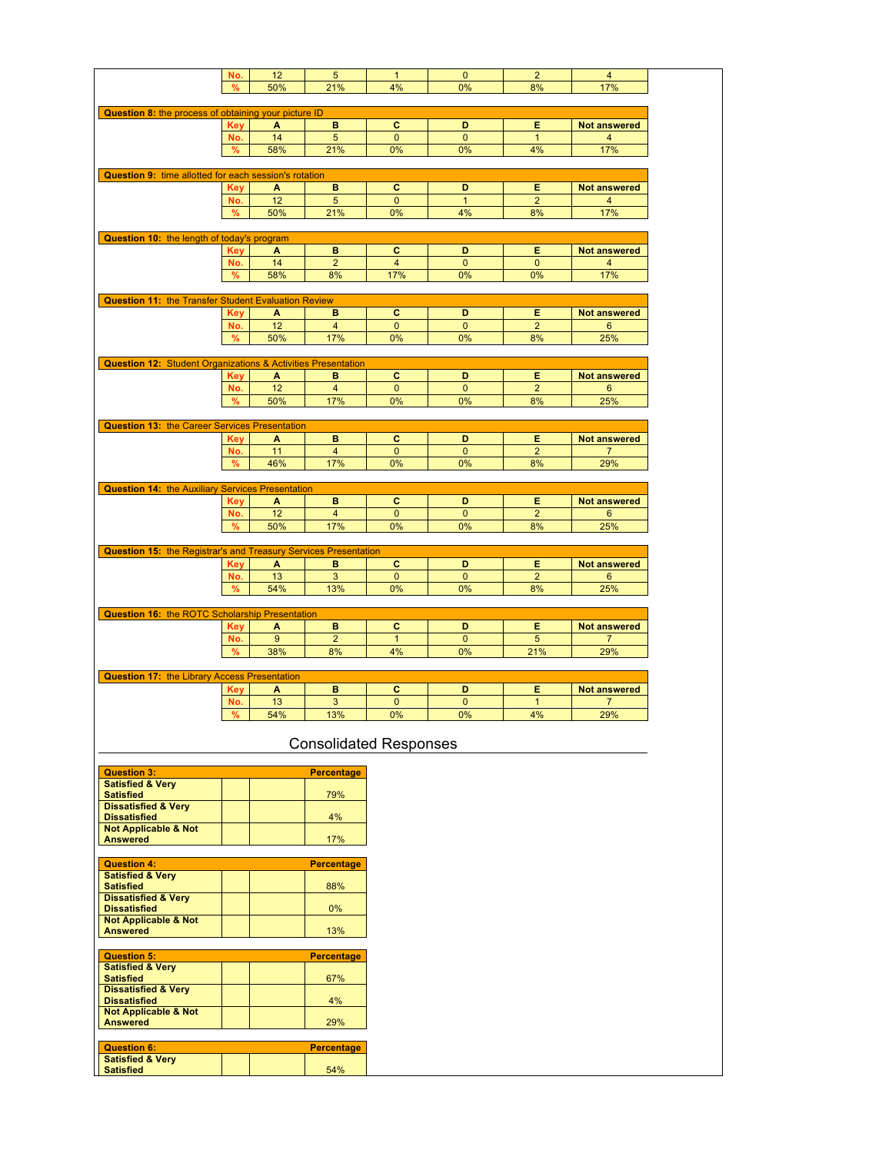|                                                                                                                                                                                                                                                                                                                                                                                                                                                                                         | No.        | 12  | 5                       | $\mathbf{1}$                  | $\mathbf{0}$   | $\overline{2}$ | $\overline{4}$      |
|-----------------------------------------------------------------------------------------------------------------------------------------------------------------------------------------------------------------------------------------------------------------------------------------------------------------------------------------------------------------------------------------------------------------------------------------------------------------------------------------|------------|-----|-------------------------|-------------------------------|----------------|----------------|---------------------|
|                                                                                                                                                                                                                                                                                                                                                                                                                                                                                         | %          | 50% | 21%                     | 4%                            | 0%             | 8%             | 17%                 |
|                                                                                                                                                                                                                                                                                                                                                                                                                                                                                         |            |     |                         |                               |                |                |                     |
| Question 8: the process of obtaining your picture ID                                                                                                                                                                                                                                                                                                                                                                                                                                    |            |     |                         |                               |                |                |                     |
|                                                                                                                                                                                                                                                                                                                                                                                                                                                                                         | Key        | A   | в                       | C                             | D              | Е              | <b>Not answered</b> |
|                                                                                                                                                                                                                                                                                                                                                                                                                                                                                         | No.        | 14  | $\sqrt{5}$              | $\mathbf 0$                   | $\mathbf 0$    | $\mathbf{1}$   | 4                   |
|                                                                                                                                                                                                                                                                                                                                                                                                                                                                                         | %          | 58% | 21%                     | 0%                            | 0%             | 4%             | 17%                 |
|                                                                                                                                                                                                                                                                                                                                                                                                                                                                                         |            |     |                         |                               |                |                |                     |
| <b>Question 9: time allotted for each session's rotation</b>                                                                                                                                                                                                                                                                                                                                                                                                                            |            |     |                         |                               |                |                |                     |
|                                                                                                                                                                                                                                                                                                                                                                                                                                                                                         | Key        | A   | в                       | c                             | D              | Е              | <b>Not answered</b> |
|                                                                                                                                                                                                                                                                                                                                                                                                                                                                                         | No.        | 12  | $\sqrt{5}$              | $\pmb{0}$                     | $\mathbf{1}$   | $\overline{2}$ | 4                   |
|                                                                                                                                                                                                                                                                                                                                                                                                                                                                                         | %          | 50% | 21%                     | 0%                            | 4%             | 8%             | 17%                 |
|                                                                                                                                                                                                                                                                                                                                                                                                                                                                                         |            |     |                         |                               |                |                |                     |
| Question 10: the length of today's program                                                                                                                                                                                                                                                                                                                                                                                                                                              |            |     |                         |                               |                |                |                     |
|                                                                                                                                                                                                                                                                                                                                                                                                                                                                                         | Key        | A   | в                       | C                             | D              | Е              | <b>Not answered</b> |
|                                                                                                                                                                                                                                                                                                                                                                                                                                                                                         | No.        | 14  | $\overline{2}$          | $\overline{4}$                | $\overline{0}$ | $\overline{0}$ | $\overline{4}$      |
|                                                                                                                                                                                                                                                                                                                                                                                                                                                                                         | %          | 58% | 8%                      | 17%                           | 0%             | 0%             | 17%                 |
|                                                                                                                                                                                                                                                                                                                                                                                                                                                                                         |            |     |                         |                               |                |                |                     |
| <b>Question 11: the Transfer Student Evaluation Review</b>                                                                                                                                                                                                                                                                                                                                                                                                                              |            |     |                         |                               |                |                |                     |
|                                                                                                                                                                                                                                                                                                                                                                                                                                                                                         | <b>Key</b> | A   | в                       | c                             | D              | Е              | <b>Not answered</b> |
|                                                                                                                                                                                                                                                                                                                                                                                                                                                                                         | No.        | 12  | $\overline{4}$          | $\pmb{0}$                     | $\mathbf 0$    | $\overline{2}$ | 6                   |
|                                                                                                                                                                                                                                                                                                                                                                                                                                                                                         | %          | 50% | 17%                     | 0%                            | 0%             | 8%             | 25%                 |
|                                                                                                                                                                                                                                                                                                                                                                                                                                                                                         |            |     |                         |                               |                |                |                     |
| <b>Question 12: Student Organizations &amp; Activities Presentation</b>                                                                                                                                                                                                                                                                                                                                                                                                                 |            |     |                         |                               |                |                |                     |
|                                                                                                                                                                                                                                                                                                                                                                                                                                                                                         | Key        | A   | в                       | c                             | D              | Е              | <b>Not answered</b> |
|                                                                                                                                                                                                                                                                                                                                                                                                                                                                                         | No.        | 12  | $\overline{4}$          | $\mathbf 0$                   | $\mathbf 0$    | $\overline{2}$ | 6                   |
|                                                                                                                                                                                                                                                                                                                                                                                                                                                                                         | %          | 50% | 17%                     | 0%                            | 0%             | 8%             | 25%                 |
|                                                                                                                                                                                                                                                                                                                                                                                                                                                                                         |            |     |                         |                               |                |                |                     |
| <b>Question 13: the Career Services Presentation</b>                                                                                                                                                                                                                                                                                                                                                                                                                                    |            |     |                         |                               |                |                |                     |
|                                                                                                                                                                                                                                                                                                                                                                                                                                                                                         | Key        | A   | в                       | c                             | D              | Е              | <b>Not answered</b> |
|                                                                                                                                                                                                                                                                                                                                                                                                                                                                                         | No.        | 11  | $\overline{\mathbf{4}}$ | 0                             | 0              | $\overline{2}$ | 7                   |
|                                                                                                                                                                                                                                                                                                                                                                                                                                                                                         | %          | 46% | 17%                     | 0%                            | 0%             | 8%             | 29%                 |
|                                                                                                                                                                                                                                                                                                                                                                                                                                                                                         |            |     |                         |                               |                |                |                     |
| <b>Question 14: the Auxiliary Services Presentation</b>                                                                                                                                                                                                                                                                                                                                                                                                                                 |            |     |                         |                               |                |                |                     |
|                                                                                                                                                                                                                                                                                                                                                                                                                                                                                         | Key        | A   | в                       | c                             | D              | Е              | <b>Not answered</b> |
|                                                                                                                                                                                                                                                                                                                                                                                                                                                                                         | No.        | 12  | $\overline{4}$          | $\mathbf 0$                   | $\mathbf 0$    | $\overline{2}$ | 6                   |
|                                                                                                                                                                                                                                                                                                                                                                                                                                                                                         | %          | 50% | 17%                     | 0%                            | 0%             | 8%             | 25%                 |
|                                                                                                                                                                                                                                                                                                                                                                                                                                                                                         |            |     |                         |                               |                |                |                     |
| <b>Question 15: the Registrar's and Treasury Services Presentation</b>                                                                                                                                                                                                                                                                                                                                                                                                                  |            |     |                         |                               |                |                |                     |
|                                                                                                                                                                                                                                                                                                                                                                                                                                                                                         | Key        | A   | в                       | c                             | D              | Е              | <b>Not answered</b> |
|                                                                                                                                                                                                                                                                                                                                                                                                                                                                                         | No.        | 13  | 3                       | $\pmb{0}$                     | 0              | $\overline{2}$ | 6                   |
|                                                                                                                                                                                                                                                                                                                                                                                                                                                                                         | %          | 54% | 13%                     | 0%                            | 0%             | 8%             | 25%                 |
|                                                                                                                                                                                                                                                                                                                                                                                                                                                                                         |            |     |                         |                               |                |                |                     |
| Question 16: the ROTC Scholarship Presentation                                                                                                                                                                                                                                                                                                                                                                                                                                          |            |     |                         |                               |                |                |                     |
|                                                                                                                                                                                                                                                                                                                                                                                                                                                                                         | Key        | A   | в                       | c                             | D              | Е              | <b>Not answered</b> |
|                                                                                                                                                                                                                                                                                                                                                                                                                                                                                         | No.        | 9   | $\overline{c}$          | $\mathbf{1}$                  | $\pmb{0}$      | 5              | 7                   |
|                                                                                                                                                                                                                                                                                                                                                                                                                                                                                         | %          | 38% | 8%                      | 4%                            | 0%             | 21%            | 29%                 |
|                                                                                                                                                                                                                                                                                                                                                                                                                                                                                         |            |     |                         |                               |                |                |                     |
| <b>Question 17: the Library Access Presentation</b>                                                                                                                                                                                                                                                                                                                                                                                                                                     |            |     |                         |                               |                |                |                     |
|                                                                                                                                                                                                                                                                                                                                                                                                                                                                                         | Key        | A   | B                       | c                             | D              | Е              | <b>Not answered</b> |
|                                                                                                                                                                                                                                                                                                                                                                                                                                                                                         | No.        | 13  | 3                       | $\mathbf 0$                   | $\mathbf 0$    | $\mathbf{1}$   | 7                   |
|                                                                                                                                                                                                                                                                                                                                                                                                                                                                                         |            |     |                         |                               |                |                |                     |
|                                                                                                                                                                                                                                                                                                                                                                                                                                                                                         |            |     |                         |                               |                |                |                     |
|                                                                                                                                                                                                                                                                                                                                                                                                                                                                                         | %          | 54% | 13%                     | 0%                            | 0%             | 4%             | 29%                 |
|                                                                                                                                                                                                                                                                                                                                                                                                                                                                                         |            |     |                         |                               |                |                |                     |
|                                                                                                                                                                                                                                                                                                                                                                                                                                                                                         |            |     |                         | <b>Consolidated Responses</b> |                |                |                     |
|                                                                                                                                                                                                                                                                                                                                                                                                                                                                                         |            |     |                         |                               |                |                |                     |
|                                                                                                                                                                                                                                                                                                                                                                                                                                                                                         |            |     | <b>Percentage</b>       |                               |                |                |                     |
|                                                                                                                                                                                                                                                                                                                                                                                                                                                                                         |            |     |                         |                               |                |                |                     |
|                                                                                                                                                                                                                                                                                                                                                                                                                                                                                         |            |     | 79%                     |                               |                |                |                     |
|                                                                                                                                                                                                                                                                                                                                                                                                                                                                                         |            |     |                         |                               |                |                |                     |
|                                                                                                                                                                                                                                                                                                                                                                                                                                                                                         |            |     | 4%                      |                               |                |                |                     |
|                                                                                                                                                                                                                                                                                                                                                                                                                                                                                         |            |     |                         |                               |                |                |                     |
|                                                                                                                                                                                                                                                                                                                                                                                                                                                                                         |            |     | 17%                     |                               |                |                |                     |
|                                                                                                                                                                                                                                                                                                                                                                                                                                                                                         |            |     |                         |                               |                |                |                     |
|                                                                                                                                                                                                                                                                                                                                                                                                                                                                                         |            |     | <b>Percentage</b>       |                               |                |                |                     |
|                                                                                                                                                                                                                                                                                                                                                                                                                                                                                         |            |     |                         |                               |                |                |                     |
|                                                                                                                                                                                                                                                                                                                                                                                                                                                                                         |            |     | 88%                     |                               |                |                |                     |
|                                                                                                                                                                                                                                                                                                                                                                                                                                                                                         |            |     | $0\%$                   |                               |                |                |                     |
|                                                                                                                                                                                                                                                                                                                                                                                                                                                                                         |            |     |                         |                               |                |                |                     |
|                                                                                                                                                                                                                                                                                                                                                                                                                                                                                         |            |     | 13%                     |                               |                |                |                     |
|                                                                                                                                                                                                                                                                                                                                                                                                                                                                                         |            |     |                         |                               |                |                |                     |
|                                                                                                                                                                                                                                                                                                                                                                                                                                                                                         |            |     | <b>Percentage</b>       |                               |                |                |                     |
|                                                                                                                                                                                                                                                                                                                                                                                                                                                                                         |            |     |                         |                               |                |                |                     |
|                                                                                                                                                                                                                                                                                                                                                                                                                                                                                         |            |     | 67%                     |                               |                |                |                     |
| <b>Question 3:</b><br><b>Satisfied &amp; Very</b><br><b>Satisfied</b><br><b>Dissatisfied &amp; Very</b><br><b>Dissatisfied</b><br><b>Not Applicable &amp; Not</b><br><b>Answered</b><br><b>Question 4:</b><br><b>Satisfied &amp; Very</b><br><b>Satisfied</b><br><b>Dissatisfied &amp; Very</b><br><b>Dissatisfied</b><br><b>Not Applicable &amp; Not</b><br><b>Answered</b><br><b>Question 5:</b><br><b>Satisfied &amp; Very</b><br><b>Satisfied</b><br><b>Dissatisfied &amp; Very</b> |            |     |                         |                               |                |                |                     |
| <b>Dissatisfied</b>                                                                                                                                                                                                                                                                                                                                                                                                                                                                     |            |     | 4%                      |                               |                |                |                     |
|                                                                                                                                                                                                                                                                                                                                                                                                                                                                                         |            |     |                         |                               |                |                |                     |
|                                                                                                                                                                                                                                                                                                                                                                                                                                                                                         |            |     | 29%                     |                               |                |                |                     |
|                                                                                                                                                                                                                                                                                                                                                                                                                                                                                         |            |     |                         |                               |                |                |                     |
|                                                                                                                                                                                                                                                                                                                                                                                                                                                                                         |            |     | <b>Percentage</b>       |                               |                |                |                     |
| <b>Not Applicable &amp; Not</b><br><b>Answered</b><br><b>Question 6:</b><br><b>Satisfied &amp; Very</b><br><b>Satisfied</b>                                                                                                                                                                                                                                                                                                                                                             |            |     | 54%                     |                               |                |                |                     |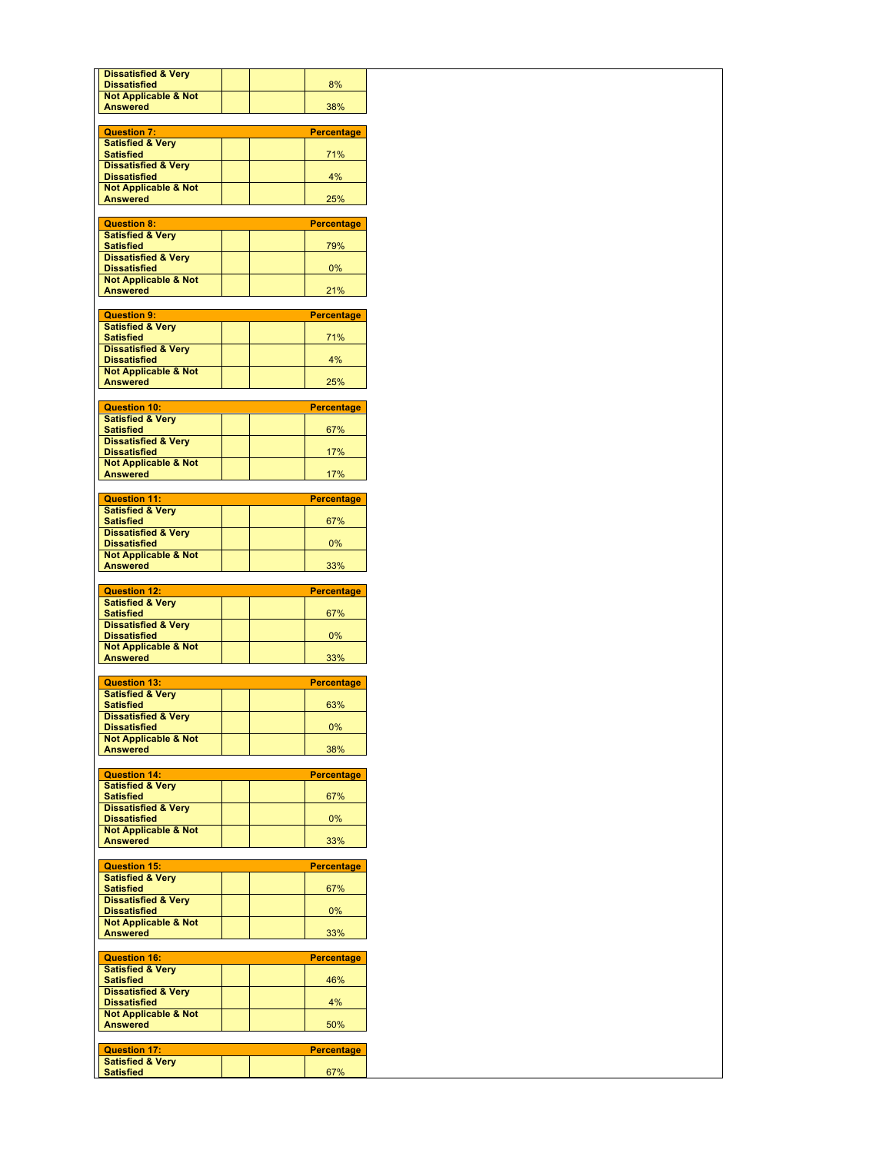| <b>Dissatisfied &amp; Very</b><br><b>Dissatisfied</b>  | 8%                |
|--------------------------------------------------------|-------------------|
| <b>Not Applicable &amp; Not</b>                        |                   |
| <b>Answered</b>                                        | 38%               |
| <b>Question 7:</b>                                     | <b>Percentage</b> |
| <b>Satisfied &amp; Very</b><br><b>Satisfied</b>        | 71%               |
| <b>Dissatisfied &amp; Very</b>                         |                   |
| <b>Dissatisfied</b><br><b>Not Applicable &amp; Not</b> | 4%                |
| Answered                                               | 25%               |
| <b>Question 8:</b>                                     | <b>Percentage</b> |
| <b>Satisfied &amp; Very</b>                            |                   |
| <b>Satisfied</b><br><b>Dissatisfied &amp; Very</b>     | 79%               |
| <b>Dissatisfied</b>                                    | 0%                |
| <b>Not Applicable &amp; Not</b><br><b>Answered</b>     | 21%               |
|                                                        |                   |
| <b>Question 9:</b><br><b>Satisfied &amp; Very</b>      | <b>Percentage</b> |
| <b>Satisfied</b>                                       | 71%               |
| <b>Dissatisfied &amp; Very</b><br><b>Dissatisfied</b>  | 4%                |
| <b>Not Applicable &amp; Not</b><br><b>Answered</b>     | 25%               |
|                                                        |                   |
| <b>Question 10:</b>                                    | <b>Percentage</b> |
| <b>Satisfied &amp; Very</b><br><b>Satisfied</b>        | 67%               |
| <b>Dissatisfied &amp; Very</b><br><b>Dissatisfied</b>  | 17%               |
| <b>Not Applicable &amp; Not</b>                        |                   |
| <b>Answered</b>                                        | 17%               |
| <b>Question 11:</b>                                    | <b>Percentage</b> |
| <b>Satisfied &amp; Very</b><br><b>Satisfied</b>        | 67%               |
| <b>Dissatisfied &amp; Very</b>                         |                   |
| <b>Dissatisfied</b><br><b>Not Applicable &amp; Not</b> | 0%                |
| <b>Answered</b>                                        | 33%               |
|                                                        |                   |
|                                                        |                   |
| <b>Question 12:</b><br><b>Satisfied &amp; Very</b>     | <b>Percentage</b> |
| <b>Satisfied</b><br><b>Dissatisfied &amp; Very</b>     | 67%               |
| <b>Dissatisfied</b>                                    | 0%                |
| <b>Not Applicable &amp; Not</b><br><b>Answered</b>     | 33%               |
|                                                        |                   |
| <b>Question 13:</b><br><b>Satisfied &amp; Very</b>     | <b>Percentage</b> |
| <b>Satisfied</b>                                       | 63%               |
| <b>Dissatisfied &amp; Very</b><br><b>Dissatisfied</b>  | 0%                |
| <b>Not Applicable &amp; Not</b><br><b>Answered</b>     | 38%               |
|                                                        |                   |
| <b>Question 14:</b><br><b>Satisfied &amp; Very</b>     | <b>Percentage</b> |
| <b>Satisfied</b>                                       | 67%               |
| <b>Dissatisfied &amp; Very</b><br><b>Dissatisfied</b>  | 0%                |
| <b>Not Applicable &amp; Not</b>                        |                   |
| <b>Answered</b>                                        | 33%               |
| <b>Question 15:</b>                                    | <b>Percentage</b> |
| <b>Satisfied &amp; Very</b><br><b>Satisfied</b>        | 67%               |
| <b>Dissatisfied &amp; Very</b>                         |                   |
| <b>Dissatisfied</b><br><b>Not Applicable &amp; Not</b> | 0%                |
| <b>Answered</b>                                        | 33%               |
| <b>Question 16:</b>                                    | <b>Percentage</b> |
| <b>Satisfied &amp; Very</b>                            |                   |
| <b>Satisfied</b><br><b>Dissatisfied &amp; Very</b>     | 46%               |
| <b>Dissatisfied</b>                                    | 4%                |
| <b>Not Applicable &amp; Not</b><br><b>Answered</b>     | 50%               |
|                                                        |                   |
| <b>Question 17:</b><br><b>Satisfied &amp; Very</b>     | <b>Percentage</b> |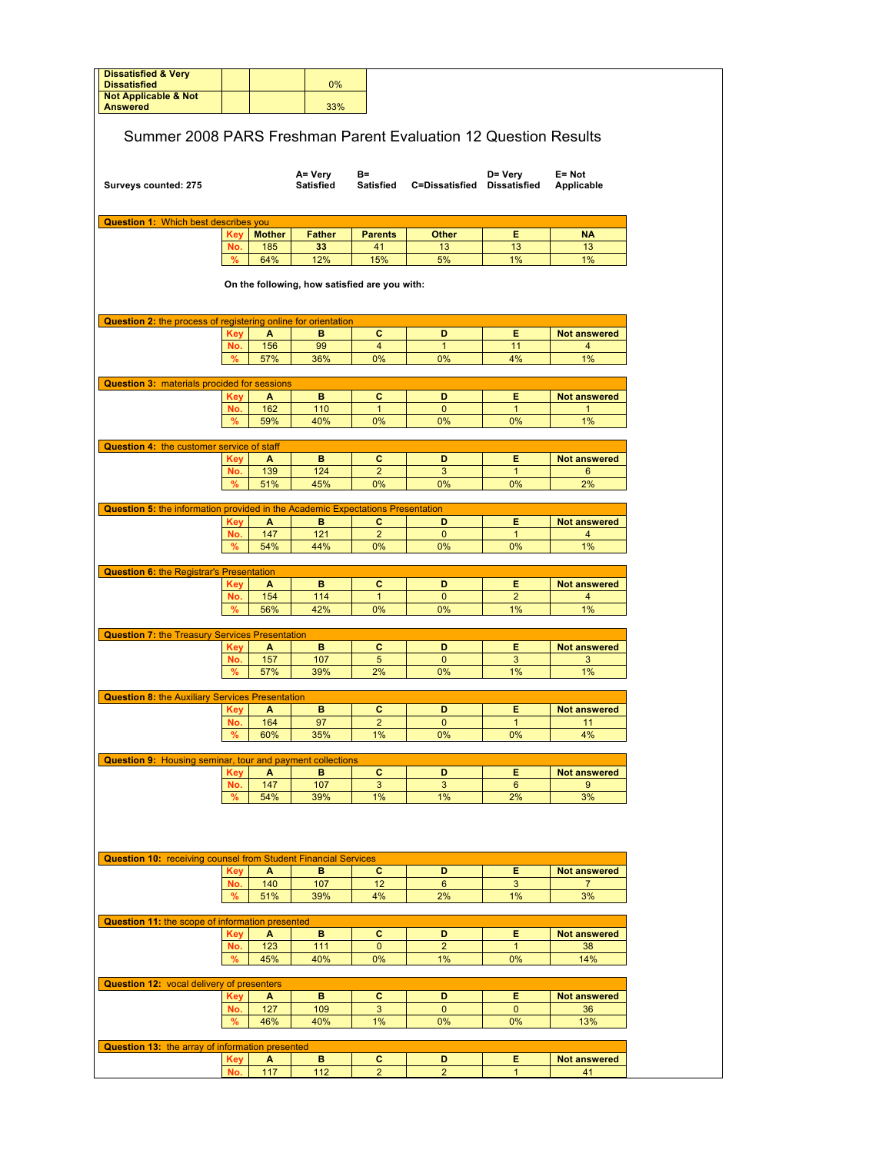| <b>Dissatisfied &amp; Very</b><br><b>Dissatisfied</b>                                                                                                                                                                                                                                                                                                        |                   |               |                                               |                         |                                       |                     |                                       |
|--------------------------------------------------------------------------------------------------------------------------------------------------------------------------------------------------------------------------------------------------------------------------------------------------------------------------------------------------------------|-------------------|---------------|-----------------------------------------------|-------------------------|---------------------------------------|---------------------|---------------------------------------|
| <b>Not Applicable &amp; Not</b>                                                                                                                                                                                                                                                                                                                              |                   |               | 0%                                            |                         |                                       |                     |                                       |
| <b>Answered</b>                                                                                                                                                                                                                                                                                                                                              |                   |               | 33%                                           |                         |                                       |                     |                                       |
|                                                                                                                                                                                                                                                                                                                                                              |                   |               |                                               |                         |                                       |                     |                                       |
| Summer 2008 PARS Freshman Parent Evaluation 12 Question Results                                                                                                                                                                                                                                                                                              |                   |               |                                               |                         |                                       |                     |                                       |
|                                                                                                                                                                                                                                                                                                                                                              |                   |               |                                               |                         |                                       |                     |                                       |
|                                                                                                                                                                                                                                                                                                                                                              |                   |               | A= Very                                       | B=                      |                                       | D= Very             | $E = Not$                             |
| Surveys counted: 275                                                                                                                                                                                                                                                                                                                                         |                   |               | <b>Satisfied</b>                              |                         | Satisfied C=Dissatisfied Dissatisfied |                     | Applicable                            |
|                                                                                                                                                                                                                                                                                                                                                              |                   |               |                                               |                         |                                       |                     |                                       |
| <b>Question 1: Which best describes you</b>                                                                                                                                                                                                                                                                                                                  |                   |               |                                               |                         |                                       |                     |                                       |
|                                                                                                                                                                                                                                                                                                                                                              | Key               | <b>Mother</b> | <b>Father</b>                                 | <b>Parents</b>          | Other                                 | Е                   | <b>NA</b>                             |
|                                                                                                                                                                                                                                                                                                                                                              | No.<br>%          | 185<br>64%    | 33<br>12%                                     | 41<br>15%               | 13<br>5%                              | 13<br>1%            | 13<br>1%                              |
|                                                                                                                                                                                                                                                                                                                                                              |                   |               |                                               |                         |                                       |                     |                                       |
|                                                                                                                                                                                                                                                                                                                                                              |                   |               | On the following, how satisfied are you with: |                         |                                       |                     |                                       |
|                                                                                                                                                                                                                                                                                                                                                              |                   |               |                                               |                         |                                       |                     |                                       |
| <b>Question 2:</b> the process of registering online for orientation                                                                                                                                                                                                                                                                                         |                   |               |                                               |                         |                                       |                     |                                       |
|                                                                                                                                                                                                                                                                                                                                                              | <b>Key</b>        | A             | в                                             | c                       | D                                     | Е                   | <b>Not answered</b>                   |
|                                                                                                                                                                                                                                                                                                                                                              | No.               | 156           | 99                                            | $\overline{4}$          | $\mathbf{1}$                          | 11                  | 4                                     |
|                                                                                                                                                                                                                                                                                                                                                              | %                 | 57%           | 36%                                           | 0%                      | 0%                                    | 4%                  | 1%                                    |
| <b>Question 3: materials procided for sessions</b>                                                                                                                                                                                                                                                                                                           |                   |               |                                               |                         |                                       |                     |                                       |
|                                                                                                                                                                                                                                                                                                                                                              | Key               | A             | в                                             | c                       | D                                     | Е                   | <b>Not answered</b>                   |
|                                                                                                                                                                                                                                                                                                                                                              | No.               | 162           | 110                                           | $\mathbf{1}$            | $\mathbf 0$                           | $\mathbf{1}$        | $\mathbf{1}$                          |
|                                                                                                                                                                                                                                                                                                                                                              | %                 | 59%           | 40%                                           | 0%                      | 0%                                    | 0%                  | 1%                                    |
|                                                                                                                                                                                                                                                                                                                                                              |                   |               |                                               |                         |                                       |                     |                                       |
| <b>Question 4: the customer service of staff</b>                                                                                                                                                                                                                                                                                                             | Key               | A             | в                                             | с                       | D                                     | Е                   | <b>Not answered</b>                   |
|                                                                                                                                                                                                                                                                                                                                                              | No.               | 139           | 124                                           | $\overline{2}$          | 3                                     | $\mathbf{1}$        | 6                                     |
|                                                                                                                                                                                                                                                                                                                                                              | %                 | 51%           | 45%                                           | 0%                      | 0%                                    | 0%                  | 2%                                    |
|                                                                                                                                                                                                                                                                                                                                                              |                   |               |                                               |                         |                                       |                     |                                       |
| <b>Question 5:</b> the information provided in the Academic Expectations Presentation                                                                                                                                                                                                                                                                        |                   |               |                                               |                         |                                       | Е                   |                                       |
|                                                                                                                                                                                                                                                                                                                                                              | Key<br>No.        | A<br>147      | в<br>121                                      | c<br>$\overline{2}$     | D<br>$\mathbf{0}$                     | $\mathbf{1}$        | <b>Not answered</b><br>4              |
|                                                                                                                                                                                                                                                                                                                                                              | %                 | 54%           | 44%                                           | 0%                      | 0%                                    | 0%                  | 1%                                    |
|                                                                                                                                                                                                                                                                                                                                                              |                   |               |                                               |                         |                                       |                     |                                       |
| <b>Question 6: the Registrar's Presentation</b>                                                                                                                                                                                                                                                                                                              |                   |               |                                               |                         |                                       |                     |                                       |
|                                                                                                                                                                                                                                                                                                                                                              | <b>Key</b><br>No. | A<br>154      | в<br>114                                      | с<br>$\mathbf{1}$       | D<br>$\mathbf{0}$                     | Е<br>$\overline{2}$ | <b>Not answered</b><br>$\overline{4}$ |
|                                                                                                                                                                                                                                                                                                                                                              |                   |               |                                               |                         |                                       |                     | 1%                                    |
|                                                                                                                                                                                                                                                                                                                                                              |                   |               |                                               |                         |                                       |                     |                                       |
|                                                                                                                                                                                                                                                                                                                                                              | %                 | 56%           | 42%                                           | 0%                      | 0%                                    | 1%                  |                                       |
|                                                                                                                                                                                                                                                                                                                                                              |                   |               |                                               |                         |                                       |                     |                                       |
|                                                                                                                                                                                                                                                                                                                                                              | <b>Key</b>        | A             | в                                             | c                       | D                                     | E.                  | <b>Not answered</b>                   |
|                                                                                                                                                                                                                                                                                                                                                              | No.               | 157           | 107                                           | 5                       | $\mathbf{0}$                          | 3                   | 3                                     |
|                                                                                                                                                                                                                                                                                                                                                              | %                 | 57%           | 39%                                           | 2%                      | 0%                                    | 1%                  | 1%                                    |
|                                                                                                                                                                                                                                                                                                                                                              |                   |               |                                               |                         |                                       |                     |                                       |
|                                                                                                                                                                                                                                                                                                                                                              | <b>Key</b>        | A             | в                                             | c                       | D                                     | Е                   | <b>Not answered</b>                   |
|                                                                                                                                                                                                                                                                                                                                                              | No.               | 164           | 97                                            | $\overline{\mathbf{c}}$ | $\pmb{0}$                             | $\mathbf{1}$        | 11                                    |
|                                                                                                                                                                                                                                                                                                                                                              | %                 | 60%           | 35%                                           | 1%                      | 0%                                    | 0%                  | 4%                                    |
| <b>Question 8: the Auxiliary Services Presentation</b>                                                                                                                                                                                                                                                                                                       |                   |               |                                               |                         |                                       |                     |                                       |
|                                                                                                                                                                                                                                                                                                                                                              | <b>Key</b>        | A             | в                                             | c                       | D                                     | Е                   | <b>Not answered</b>                   |
|                                                                                                                                                                                                                                                                                                                                                              | No.               | 147           | 107                                           | 3                       | 3                                     | $6\phantom{1}$      | 9                                     |
|                                                                                                                                                                                                                                                                                                                                                              | %                 | 54%           | 39%                                           | $1\%$                   | 1%                                    | 2%                  | 3%                                    |
|                                                                                                                                                                                                                                                                                                                                                              |                   |               |                                               |                         |                                       |                     |                                       |
|                                                                                                                                                                                                                                                                                                                                                              |                   |               |                                               |                         |                                       |                     |                                       |
|                                                                                                                                                                                                                                                                                                                                                              |                   |               |                                               |                         |                                       |                     |                                       |
|                                                                                                                                                                                                                                                                                                                                                              |                   |               |                                               |                         |                                       |                     |                                       |
|                                                                                                                                                                                                                                                                                                                                                              | <b>Key</b>        | A             | в                                             | c                       | D                                     | Е                   | <b>Not answered</b>                   |
|                                                                                                                                                                                                                                                                                                                                                              | No.<br>$\%$       | 140<br>51%    | 107<br>39%                                    | 12<br>4%                | $6\phantom{1}$<br>2%                  | 3<br>1%             | $\overline{7}$<br>3%                  |
|                                                                                                                                                                                                                                                                                                                                                              |                   |               |                                               |                         |                                       |                     |                                       |
|                                                                                                                                                                                                                                                                                                                                                              |                   |               |                                               |                         |                                       |                     |                                       |
|                                                                                                                                                                                                                                                                                                                                                              | <b>Key</b>        | A             | в                                             | c                       | D                                     | Е                   | <b>Not answered</b>                   |
|                                                                                                                                                                                                                                                                                                                                                              | No.               | 123           | 111                                           | $\mathbf{0}$            | $\overline{2}$                        | $\mathbf{1}$        | 38                                    |
|                                                                                                                                                                                                                                                                                                                                                              | %                 | 45%           | 40%                                           | 0%                      | 1%                                    | 0%                  | 14%                                   |
|                                                                                                                                                                                                                                                                                                                                                              |                   |               |                                               |                         |                                       |                     |                                       |
|                                                                                                                                                                                                                                                                                                                                                              | <b>Key</b>        | A             | в                                             | c                       | D                                     | Е                   | <b>Not answered</b>                   |
|                                                                                                                                                                                                                                                                                                                                                              | No.               | 127           | 109                                           | 3                       | $\mathbf 0$                           | $\mathbf{0}$        | 36                                    |
|                                                                                                                                                                                                                                                                                                                                                              | $\%$              | 46%           | 40%                                           | 1%                      | 0%                                    | 0%                  | 13%                                   |
|                                                                                                                                                                                                                                                                                                                                                              |                   |               |                                               |                         |                                       |                     |                                       |
| <b>Question 7: the Treasury Services Presentation</b><br><b>Question 9: Housing seminar, tour and payment collections</b><br><b>Question 10: receiving counsel from Student Financial Services</b><br>Question 11: the scope of information presented<br><b>Question 12: vocal delivery of presenters</b><br>Question 13: the array of information presented | <b>Key</b><br>No. | A<br>117      | в<br>112                                      | c<br>$\overline{2}$     | D<br>$\overline{2}$                   | Е<br>$\mathbf{1}$   | <b>Not answered</b><br>41             |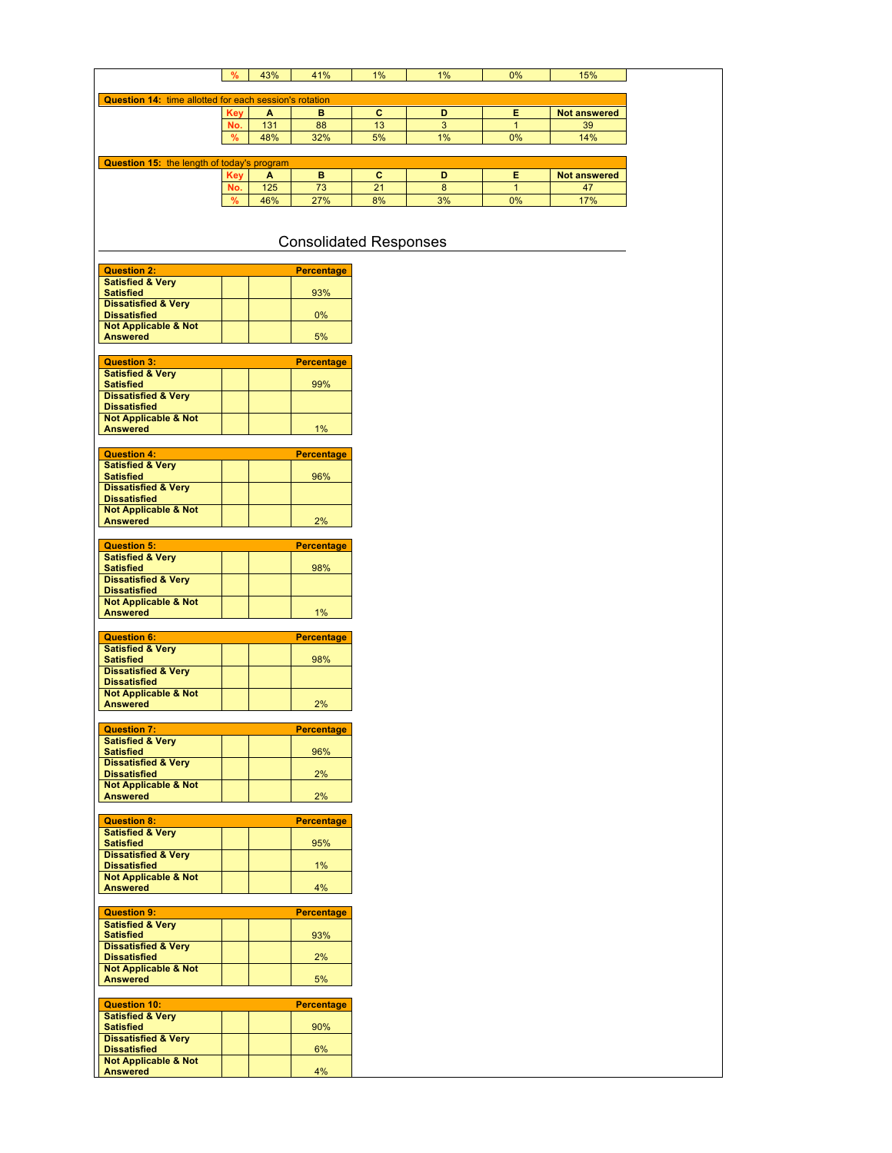|                                                        | %          | 43% | 41%                           | 1% | 1% | 0%           | 15%                 |
|--------------------------------------------------------|------------|-----|-------------------------------|----|----|--------------|---------------------|
|                                                        |            |     |                               |    |    |              |                     |
| Question 14: time allotted for each session's rotation | Key        | A   | B                             | c  | D  | Е            | <b>Not answered</b> |
|                                                        | No.        | 131 | 88                            | 13 | 3  | $\mathbf{1}$ | 39                  |
|                                                        | %          | 48% | 32%                           | 5% | 1% | 0%           | 14%                 |
|                                                        |            |     |                               |    |    |              |                     |
| Question 15: the length of today's program             | <b>Key</b> | A   | в                             | c  | D  | Е            | Not answered        |
|                                                        | No.        | 125 | 73                            | 21 | 8  | $\mathbf{1}$ | 47                  |
|                                                        | %          | 46% | 27%                           | 8% | 3% | 0%           | 17%                 |
|                                                        |            |     |                               |    |    |              |                     |
|                                                        |            |     |                               |    |    |              |                     |
|                                                        |            |     | <b>Consolidated Responses</b> |    |    |              |                     |
|                                                        |            |     |                               |    |    |              |                     |
| <b>Question 2:</b><br><b>Satisfied &amp; Very</b>      |            |     | <b>Percentage</b>             |    |    |              |                     |
| <b>Satisfied</b>                                       |            |     | 93%                           |    |    |              |                     |
| <b>Dissatisfied &amp; Very</b><br><b>Dissatisfied</b>  |            |     | $0\%$                         |    |    |              |                     |
| <b>Not Applicable &amp; Not</b>                        |            |     |                               |    |    |              |                     |
| <b>Answered</b>                                        |            |     | 5%                            |    |    |              |                     |
| <b>Question 3:</b>                                     |            |     | <b>Percentage</b>             |    |    |              |                     |
| <b>Satisfied &amp; Very</b>                            |            |     |                               |    |    |              |                     |
| <b>Satisfied</b><br><b>Dissatisfied &amp; Very</b>     |            |     | 99%                           |    |    |              |                     |
| <b>Dissatisfied</b>                                    |            |     |                               |    |    |              |                     |
| <b>Not Applicable &amp; Not</b>                        |            |     | 1%                            |    |    |              |                     |
| <b>Answered</b>                                        |            |     |                               |    |    |              |                     |
| <b>Question 4:</b>                                     |            |     | <b>Percentage</b>             |    |    |              |                     |
| <b>Satisfied &amp; Very</b><br><b>Satisfied</b>        |            |     | 96%                           |    |    |              |                     |
| <b>Dissatisfied &amp; Very</b>                         |            |     |                               |    |    |              |                     |
| <b>Dissatisfied</b>                                    |            |     |                               |    |    |              |                     |
| <b>Not Applicable &amp; Not</b><br><b>Answered</b>     |            |     | 2%                            |    |    |              |                     |
|                                                        |            |     |                               |    |    |              |                     |
| <b>Question 5:</b>                                     |            |     | <b>Percentage</b>             |    |    |              |                     |
| <b>Satisfied &amp; Very</b><br><b>Satisfied</b>        |            |     | 98%                           |    |    |              |                     |
| <b>Dissatisfied &amp; Very</b>                         |            |     |                               |    |    |              |                     |
| <b>Dissatisfied</b><br><b>Not Applicable &amp; Not</b> |            |     |                               |    |    |              |                     |
| <b>Answered</b>                                        |            |     | $1\%$                         |    |    |              |                     |
|                                                        |            |     |                               |    |    |              |                     |
| <b>Question 6:</b><br><b>Satisfied &amp; Very</b>      |            |     | <b>Percentage</b>             |    |    |              |                     |
| <b>Satisfied</b>                                       |            |     | 98%                           |    |    |              |                     |
| <b>Dissatisfied &amp; Very</b><br><b>Dissatisfied</b>  |            |     |                               |    |    |              |                     |
| <b>Not Applicable &amp; Not</b>                        |            |     |                               |    |    |              |                     |
| <b>Answered</b>                                        |            |     | 2%                            |    |    |              |                     |
| <b>Question 7:</b>                                     |            |     | <b>Percentage</b>             |    |    |              |                     |
| <b>Satisfied &amp; Very</b>                            |            |     |                               |    |    |              |                     |
| <b>Satisfied</b><br><b>Dissatisfied &amp; Very</b>     |            |     | 96%                           |    |    |              |                     |
| <b>Dissatisfied</b>                                    |            |     | 2%                            |    |    |              |                     |
| <b>Not Applicable &amp; Not</b><br><b>Answered</b>     |            |     | 2%                            |    |    |              |                     |
|                                                        |            |     |                               |    |    |              |                     |
| <b>Question 8:</b>                                     |            |     | <b>Percentage</b>             |    |    |              |                     |
| <b>Satisfied &amp; Very</b><br><b>Satisfied</b>        |            |     | 95%                           |    |    |              |                     |
| <b>Dissatisfied &amp; Very</b>                         |            |     |                               |    |    |              |                     |
| <b>Dissatisfied</b><br><b>Not Applicable &amp; Not</b> |            |     | $1\%$                         |    |    |              |                     |
| <b>Answered</b>                                        |            |     | 4%                            |    |    |              |                     |
|                                                        |            |     |                               |    |    |              |                     |
| <b>Question 9:</b><br><b>Satisfied &amp; Very</b>      |            |     | <b>Percentage</b>             |    |    |              |                     |
| <b>Satisfied</b>                                       |            |     | 93%                           |    |    |              |                     |
| <b>Dissatisfied &amp; Very</b>                         |            |     |                               |    |    |              |                     |
| <b>Dissatisfied</b><br><b>Not Applicable &amp; Not</b> |            |     | 2%                            |    |    |              |                     |
| <b>Answered</b>                                        |            |     | 5%                            |    |    |              |                     |
| <b>Question 10:</b>                                    |            |     | <b>Percentage</b>             |    |    |              |                     |
| <b>Satisfied &amp; Very</b>                            |            |     |                               |    |    |              |                     |
| <b>Satisfied</b>                                       |            |     | 90%                           |    |    |              |                     |
| <b>Dissatisfied &amp; Very</b><br><b>Dissatisfied</b>  |            |     | 6%                            |    |    |              |                     |
| <b>Not Applicable &amp; Not</b>                        |            |     |                               |    |    |              |                     |
| <b>Answered</b>                                        |            |     | 4%                            |    |    |              |                     |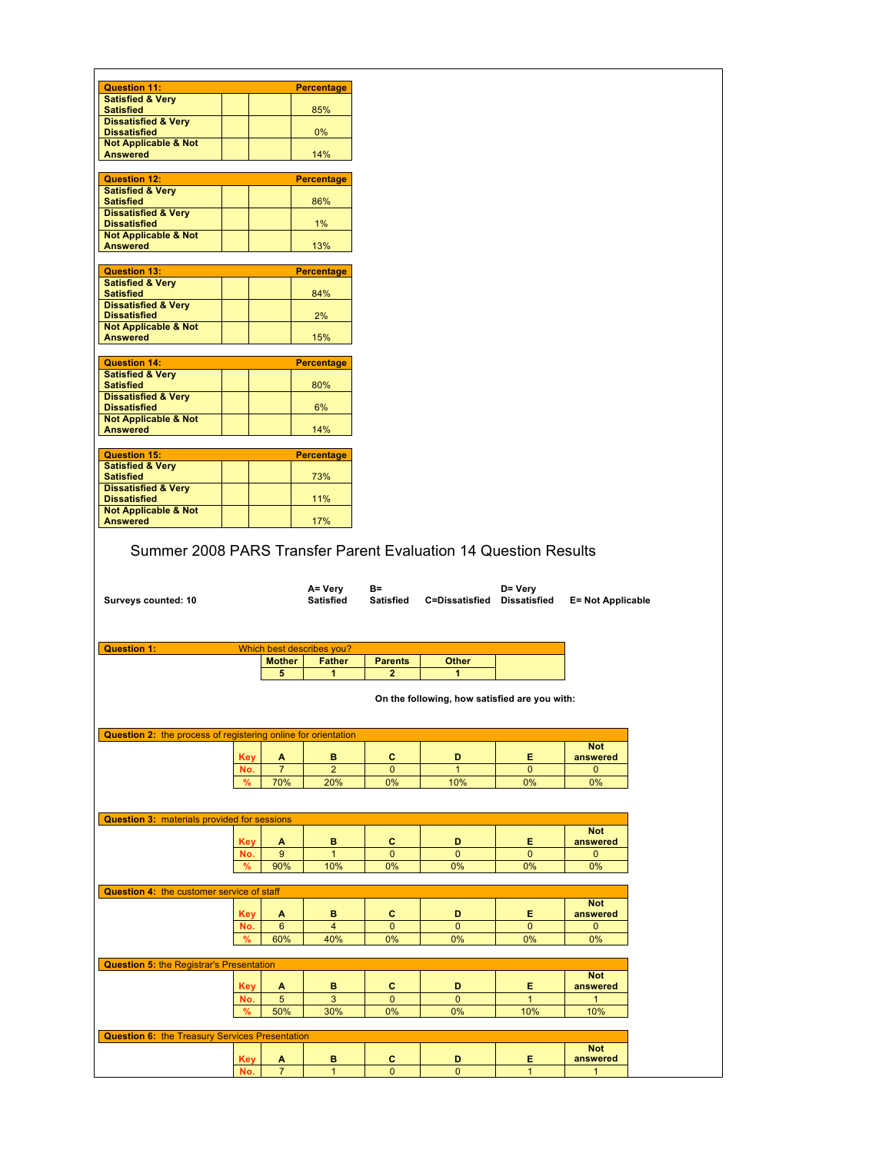| <b>Question 11:</b>                                                                                                                                                                                                                                                                                                                                  |               |                     | <b>Percentage</b>             |                                  |                                               |                   |                          |  |
|------------------------------------------------------------------------------------------------------------------------------------------------------------------------------------------------------------------------------------------------------------------------------------------------------------------------------------------------------|---------------|---------------------|-------------------------------|----------------------------------|-----------------------------------------------|-------------------|--------------------------|--|
| <b>Satisfied &amp; Very</b><br><b>Satisfied</b>                                                                                                                                                                                                                                                                                                      |               |                     | 85%                           |                                  |                                               |                   |                          |  |
| <b>Dissatisfied &amp; Very</b>                                                                                                                                                                                                                                                                                                                       |               |                     |                               |                                  |                                               |                   |                          |  |
| <b>Dissatisfied</b>                                                                                                                                                                                                                                                                                                                                  |               |                     | $0\%$                         |                                  |                                               |                   |                          |  |
| <b>Not Applicable &amp; Not</b>                                                                                                                                                                                                                                                                                                                      |               |                     |                               |                                  |                                               |                   |                          |  |
| <b>Answered</b>                                                                                                                                                                                                                                                                                                                                      |               |                     | 14%                           |                                  |                                               |                   |                          |  |
| <b>Question 12:</b>                                                                                                                                                                                                                                                                                                                                  |               |                     | <b>Percentage</b>             |                                  |                                               |                   |                          |  |
| <b>Satisfied &amp; Very</b>                                                                                                                                                                                                                                                                                                                          |               |                     |                               |                                  |                                               |                   |                          |  |
| <b>Satisfied</b>                                                                                                                                                                                                                                                                                                                                     |               |                     | 86%                           |                                  |                                               |                   |                          |  |
| <b>Dissatisfied &amp; Very</b>                                                                                                                                                                                                                                                                                                                       |               |                     |                               |                                  |                                               |                   |                          |  |
| <b>Dissatisfied</b><br><b>Not Applicable &amp; Not</b>                                                                                                                                                                                                                                                                                               |               |                     | 1%                            |                                  |                                               |                   |                          |  |
| <b>Answered</b>                                                                                                                                                                                                                                                                                                                                      |               |                     | 13%                           |                                  |                                               |                   |                          |  |
|                                                                                                                                                                                                                                                                                                                                                      |               |                     |                               |                                  |                                               |                   |                          |  |
| <b>Question 13:</b>                                                                                                                                                                                                                                                                                                                                  |               |                     | <b>Percentage</b>             |                                  |                                               |                   |                          |  |
| <b>Satisfied &amp; Very</b>                                                                                                                                                                                                                                                                                                                          |               |                     |                               |                                  |                                               |                   |                          |  |
| <b>Satisfied</b>                                                                                                                                                                                                                                                                                                                                     |               |                     | 84%                           |                                  |                                               |                   |                          |  |
| <b>Dissatisfied &amp; Very</b><br><b>Dissatisfied</b>                                                                                                                                                                                                                                                                                                |               |                     | 2%                            |                                  |                                               |                   |                          |  |
| <b>Not Applicable &amp; Not</b>                                                                                                                                                                                                                                                                                                                      |               |                     |                               |                                  |                                               |                   |                          |  |
| <b>Answered</b>                                                                                                                                                                                                                                                                                                                                      |               |                     | 15%                           |                                  |                                               |                   |                          |  |
|                                                                                                                                                                                                                                                                                                                                                      |               |                     |                               |                                  |                                               |                   |                          |  |
| <b>Question 14:</b>                                                                                                                                                                                                                                                                                                                                  |               |                     | <b>Percentage</b>             |                                  |                                               |                   |                          |  |
| <b>Satisfied &amp; Very</b>                                                                                                                                                                                                                                                                                                                          |               |                     |                               |                                  |                                               |                   |                          |  |
| <b>Satisfied</b><br><b>Dissatisfied &amp; Very</b>                                                                                                                                                                                                                                                                                                   |               |                     | 80%                           |                                  |                                               |                   |                          |  |
| <b>Dissatisfied</b>                                                                                                                                                                                                                                                                                                                                  |               |                     | 6%                            |                                  |                                               |                   |                          |  |
| <b>Not Applicable &amp; Not</b>                                                                                                                                                                                                                                                                                                                      |               |                     |                               |                                  |                                               |                   |                          |  |
| <b>Answered</b>                                                                                                                                                                                                                                                                                                                                      |               |                     | 14%                           |                                  |                                               |                   |                          |  |
|                                                                                                                                                                                                                                                                                                                                                      |               |                     |                               |                                  |                                               |                   |                          |  |
| <b>Question 15:</b>                                                                                                                                                                                                                                                                                                                                  |               |                     | <b>Percentage</b>             |                                  |                                               |                   |                          |  |
| <b>Satisfied &amp; Very</b>                                                                                                                                                                                                                                                                                                                          |               |                     |                               |                                  |                                               |                   |                          |  |
| <b>Satisfied</b><br><b>Dissatisfied &amp; Very</b>                                                                                                                                                                                                                                                                                                   |               |                     | 73%                           |                                  |                                               |                   |                          |  |
|                                                                                                                                                                                                                                                                                                                                                      |               |                     | 11%                           |                                  |                                               |                   |                          |  |
|                                                                                                                                                                                                                                                                                                                                                      |               |                     |                               |                                  |                                               |                   |                          |  |
|                                                                                                                                                                                                                                                                                                                                                      |               |                     |                               |                                  |                                               |                   |                          |  |
| Summer 2008 PARS Transfer Parent Evaluation 14 Question Results                                                                                                                                                                                                                                                                                      |               |                     | 17%<br>A= Very                | $B =$                            |                                               | D= Very           |                          |  |
|                                                                                                                                                                                                                                                                                                                                                      |               |                     | <b>Satisfied</b>              | Satisfied                        | C=Dissatisfied Dissatisfied                   |                   | <b>E= Not Applicable</b> |  |
|                                                                                                                                                                                                                                                                                                                                                      |               |                     |                               |                                  |                                               |                   |                          |  |
|                                                                                                                                                                                                                                                                                                                                                      |               |                     | Which best describes you?     |                                  |                                               |                   |                          |  |
|                                                                                                                                                                                                                                                                                                                                                      |               | <b>Mother</b><br>5  | <b>Father</b><br>$\mathbf{1}$ | <b>Parents</b><br>$\overline{2}$ | Other<br>1                                    |                   |                          |  |
|                                                                                                                                                                                                                                                                                                                                                      |               |                     |                               |                                  | On the following, how satisfied are you with: |                   |                          |  |
|                                                                                                                                                                                                                                                                                                                                                      |               |                     |                               |                                  |                                               |                   |                          |  |
|                                                                                                                                                                                                                                                                                                                                                      |               |                     |                               |                                  |                                               |                   | <b>Not</b>               |  |
|                                                                                                                                                                                                                                                                                                                                                      | <b>Key</b>    | A                   | в                             | c                                | D                                             | Е                 | answered                 |  |
|                                                                                                                                                                                                                                                                                                                                                      | No.           | $\overline{7}$      | $\overline{2}$                | $\mathbf{0}$                     | $\mathbf{1}$                                  | $\mathbf{0}$      | $\mathbf{0}$             |  |
|                                                                                                                                                                                                                                                                                                                                                      | $\frac{9}{6}$ | 70%                 | 20%                           | 0%                               | 10%                                           | 0%                | 0%                       |  |
|                                                                                                                                                                                                                                                                                                                                                      |               |                     |                               |                                  |                                               |                   |                          |  |
|                                                                                                                                                                                                                                                                                                                                                      |               |                     |                               |                                  |                                               |                   |                          |  |
|                                                                                                                                                                                                                                                                                                                                                      |               |                     |                               |                                  |                                               |                   |                          |  |
|                                                                                                                                                                                                                                                                                                                                                      | <b>Key</b>    | A                   | в                             | c                                | D                                             | Е                 | <b>Not</b><br>answered   |  |
|                                                                                                                                                                                                                                                                                                                                                      | No.           | $9\,$               | $\mathbf{1}$                  | $\mathbf{0}$                     | $\mathbf 0$                                   | $\mathbf 0$       | $\mathbf{0}$             |  |
|                                                                                                                                                                                                                                                                                                                                                      | %             | 90%                 | 10%                           | 0%                               | 0%                                            | 0%                | 0%                       |  |
|                                                                                                                                                                                                                                                                                                                                                      |               |                     |                               |                                  |                                               |                   |                          |  |
|                                                                                                                                                                                                                                                                                                                                                      |               |                     |                               |                                  |                                               |                   |                          |  |
|                                                                                                                                                                                                                                                                                                                                                      |               |                     |                               |                                  |                                               |                   | <b>Not</b>               |  |
|                                                                                                                                                                                                                                                                                                                                                      | <b>Key</b>    | A                   | в                             | c                                | D                                             | Е                 | answered                 |  |
|                                                                                                                                                                                                                                                                                                                                                      | No.           | 6                   | $\overline{4}$                | $\bf{0}$                         | $\mathbf{0}$                                  | $\mathbf{0}$      | $\mathbf 0$              |  |
|                                                                                                                                                                                                                                                                                                                                                      | $\%$          | 60%                 | 40%                           | 0%                               | 0%                                            | 0%                | 0%                       |  |
|                                                                                                                                                                                                                                                                                                                                                      |               |                     |                               |                                  |                                               |                   |                          |  |
|                                                                                                                                                                                                                                                                                                                                                      |               |                     |                               |                                  |                                               |                   |                          |  |
|                                                                                                                                                                                                                                                                                                                                                      |               | A                   | в                             | c                                | D                                             | Е                 | <b>Not</b><br>answered   |  |
| <b>Dissatisfied</b><br><b>Not Applicable &amp; Not</b><br><b>Answered</b><br>Surveys counted: 10<br><b>Question 1:</b><br>Question 2: the process of registering online for orientation<br><b>Question 3: materials provided for sessions</b><br><b>Question 4: the customer service of staff</b><br><b>Question 5: the Registrar's Presentation</b> | Key<br>No.    | $\overline{5}$      | 3                             | $\pmb{0}$                        | $\mathbf 0$                                   | $\mathbf{1}$      | $\mathbf{1}$             |  |
|                                                                                                                                                                                                                                                                                                                                                      | %             | 50%                 | 30%                           | 0%                               | 0%                                            | 10%               | 10%                      |  |
|                                                                                                                                                                                                                                                                                                                                                      |               |                     |                               |                                  |                                               |                   |                          |  |
|                                                                                                                                                                                                                                                                                                                                                      |               |                     |                               |                                  |                                               |                   |                          |  |
|                                                                                                                                                                                                                                                                                                                                                      |               |                     |                               |                                  |                                               |                   | <b>Not</b>               |  |
| <b>Question 6: the Treasury Services Presentation</b>                                                                                                                                                                                                                                                                                                | Key<br>No.    | A<br>$\overline{7}$ | в<br>$\overline{1}$           | c<br>$\mathbf{0}$                | D<br>$\mathbf 0$                              | Е<br>$\mathbf{1}$ | answered<br>$\mathbf{1}$ |  |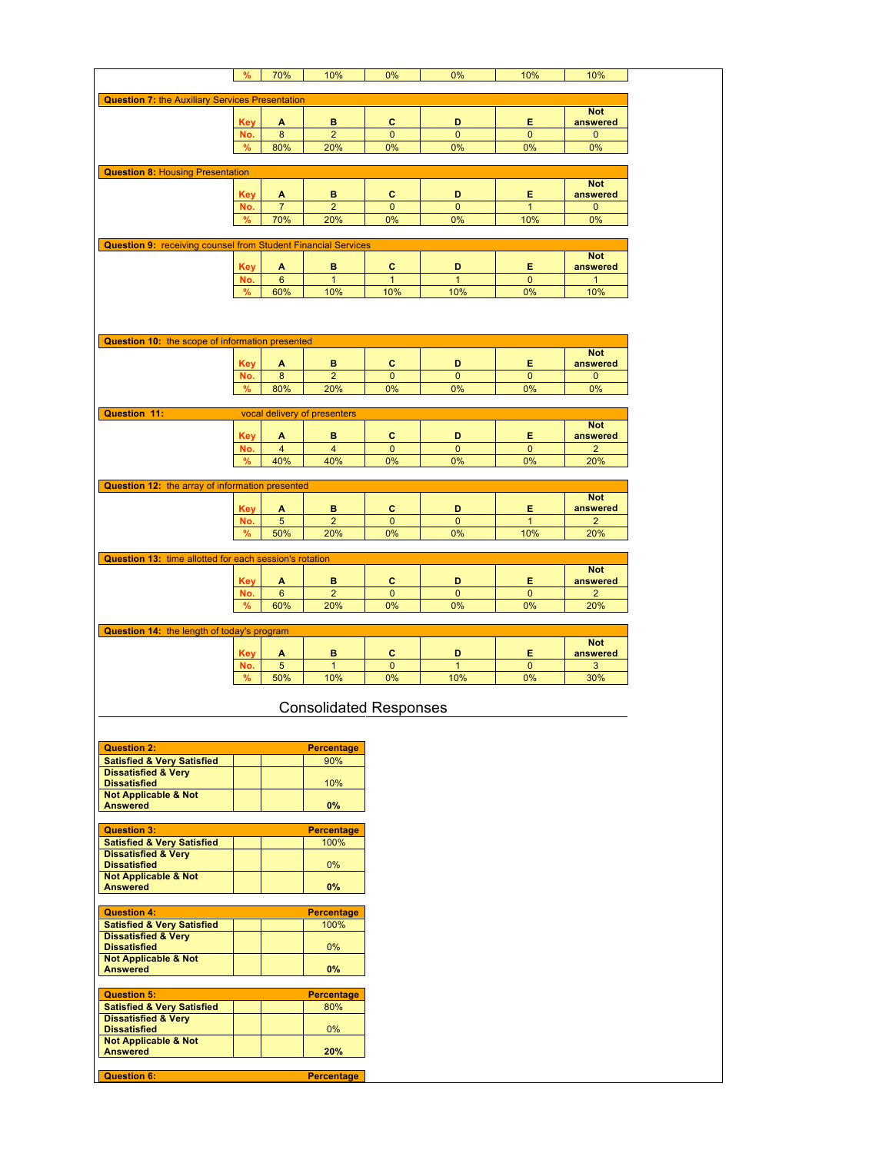|                                                                         | %          | 70%             | 10%                           | 0%           | 0%             | 10%          | 10%            |
|-------------------------------------------------------------------------|------------|-----------------|-------------------------------|--------------|----------------|--------------|----------------|
| <b>Question 7: the Auxiliary Services Presentation</b>                  |            |                 |                               |              |                |              |                |
|                                                                         |            |                 |                               |              |                |              | <b>Not</b>     |
|                                                                         | <b>Key</b> | A               | в                             | c            | D              | Е            | answered       |
|                                                                         | No.        | 8               | $\overline{2}$                | $\mathbf{0}$ | $\mathbf 0$    | $\mathbf{0}$ | $\mathbf 0$    |
|                                                                         | %          | 80%             | 20%                           | 0%           | 0%             | 0%           | 0%             |
|                                                                         |            |                 |                               |              |                |              |                |
| <b>Question 8: Housing Presentation</b>                                 |            |                 |                               |              |                |              |                |
|                                                                         |            |                 |                               |              |                |              | <b>Not</b>     |
|                                                                         | Key        | A               | в                             | c            | D              | Е            | answered       |
|                                                                         | No.        | $\overline{7}$  | $\overline{2}$                | $\mathbf 0$  | $\mathbf 0$    | $\mathbf{1}$ | $\mathbf 0$    |
|                                                                         | %          | 70%             | 20%                           | 0%           | 0%             | 10%          | 0%             |
|                                                                         |            |                 |                               |              |                |              |                |
| <b>Question 9: receiving counsel from Student Financial Services</b>    |            |                 |                               |              |                |              | <b>Not</b>     |
|                                                                         | <b>Key</b> | A               | в                             | c            | D              | Е            | answered       |
|                                                                         | No.        | $6\phantom{1}6$ | $\mathbf{1}$                  | $\mathbf{1}$ | $\mathbf{1}$   | $\mathbf{0}$ | $\mathbf{1}$   |
|                                                                         | %          | 60%             | 10%                           | 10%          | 10%            | 0%           | 10%            |
|                                                                         |            |                 |                               |              |                |              |                |
|                                                                         |            |                 |                               |              |                |              |                |
|                                                                         |            |                 |                               |              |                |              |                |
| Question 10: the scope of information presented                         |            |                 |                               |              |                |              |                |
|                                                                         |            |                 |                               |              |                |              | <b>Not</b>     |
|                                                                         | <b>Key</b> | A               | в                             | c            | D              | Е            | answered       |
|                                                                         | No.        | 8               | $\overline{2}$                | $\mathbf{0}$ | $\mathbf 0$    | $\mathbf{0}$ | 0              |
|                                                                         | %          | 80%             | 20%                           | 0%           | 0%             | 0%           | 0%             |
| Question 11:                                                            |            |                 |                               |              |                |              |                |
|                                                                         |            |                 | vocal delivery of presenters  |              |                |              | <b>Not</b>     |
|                                                                         | <b>Key</b> | Α               | в                             | c            | D              | Е            | answered       |
|                                                                         | No.        | $\overline{4}$  | $\overline{4}$                | $\mathbf{0}$ | $\mathbf{0}$   | $\mathbf 0$  | $\overline{2}$ |
|                                                                         | %          | 40%             | 40%                           | 0%           | 0%             | 0%           | 20%            |
|                                                                         |            |                 |                               |              |                |              |                |
| Question 12: the array of information presented                         |            |                 |                               |              |                |              |                |
|                                                                         |            |                 |                               |              |                |              | <b>Not</b>     |
|                                                                         | Key        | A               | в                             | c            | D              | Е.           | answered       |
|                                                                         | No.        | $\sqrt{5}$      | $\overline{2}$                | 0            | 0              | $\mathbf{1}$ | $\overline{c}$ |
|                                                                         | %          | 50%             | 20%                           | 0%           | 0%             | 10%          | 20%            |
|                                                                         |            |                 |                               |              |                |              |                |
| Question 13: time allotted for each session's rotation                  |            |                 |                               |              |                |              | <b>Not</b>     |
|                                                                         | <b>Key</b> | A               | в                             | c            | D              | Е            | answered       |
|                                                                         | No.        | 6               | $\overline{2}$                | $\mathbf{0}$ | $\mathbf 0$    | $\mathbf{0}$ | $\overline{2}$ |
|                                                                         | %          | 60%             | 20%                           | 0%           | 0%             | 0%           | 20%            |
|                                                                         |            |                 |                               |              |                |              |                |
| Question 14: the length of today's program                              |            |                 |                               |              |                |              |                |
|                                                                         |            |                 |                               |              |                |              | <b>Not</b>     |
|                                                                         | Key        | A               | в                             | с            | D              | Е            | answered       |
|                                                                         | No.        | $\sqrt{5}$      | $\mathbf{1}$                  | 0            | $\overline{1}$ | 0            | 3              |
|                                                                         | $\%$       | 50%             | 10%                           | 0%           | 10%            | 0%           | 30%            |
|                                                                         |            |                 |                               |              |                |              |                |
|                                                                         |            |                 | <b>Consolidated Responses</b> |              |                |              |                |
|                                                                         |            |                 |                               |              |                |              |                |
|                                                                         |            |                 |                               |              |                |              |                |
| <b>Question 2:</b>                                                      |            |                 | <b>Percentage</b>             |              |                |              |                |
| <b>Satisfied &amp; Very Satisfied</b>                                   |            |                 | 90%                           |              |                |              |                |
| <b>Dissatisfied &amp; Very</b>                                          |            |                 |                               |              |                |              |                |
| <b>Dissatisfied</b><br><b>Not Applicable &amp; Not</b>                  |            |                 | 10%                           |              |                |              |                |
| <b>Answered</b>                                                         |            |                 | $0\%$                         |              |                |              |                |
|                                                                         |            |                 |                               |              |                |              |                |
| <b>Question 3:</b>                                                      |            |                 | <b>Percentage</b>             |              |                |              |                |
| <b>Satisfied &amp; Very Satisfied</b>                                   |            |                 | 100%                          |              |                |              |                |
| <b>Dissatisfied &amp; Very</b>                                          |            |                 |                               |              |                |              |                |
| <b>Dissatisfied</b>                                                     |            |                 | 0%                            |              |                |              |                |
| <b>Not Applicable &amp; Not</b><br><b>Answered</b>                      |            |                 | $0\%$                         |              |                |              |                |
|                                                                         |            |                 |                               |              |                |              |                |
| <b>Question 4:</b>                                                      |            |                 | <b>Percentage</b>             |              |                |              |                |
| <b>Satisfied &amp; Very Satisfied</b>                                   |            |                 | 100%                          |              |                |              |                |
| <b>Dissatisfied &amp; Very</b>                                          |            |                 |                               |              |                |              |                |
| <b>Dissatisfied</b>                                                     |            |                 | $0\%$                         |              |                |              |                |
| <b>Not Applicable &amp; Not</b>                                         |            |                 |                               |              |                |              |                |
| <b>Answered</b>                                                         |            |                 | 0%                            |              |                |              |                |
|                                                                         |            |                 |                               |              |                |              |                |
| <b>Question 5:</b>                                                      |            |                 | <b>Percentage</b>             |              |                |              |                |
| <b>Satisfied &amp; Very Satisfied</b><br><b>Dissatisfied &amp; Very</b> |            |                 | 80%                           |              |                |              |                |
| <b>Dissatisfied</b>                                                     |            |                 | $0\%$                         |              |                |              |                |
| <b>Not Applicable &amp; Not</b>                                         |            |                 |                               |              |                |              |                |
| <b>Answered</b>                                                         |            |                 | 20%                           |              |                |              |                |
|                                                                         |            |                 |                               |              |                |              |                |
| <b>Question 6:</b>                                                      |            |                 | <b>Percentage</b>             |              |                |              |                |
|                                                                         |            |                 |                               |              |                |              |                |